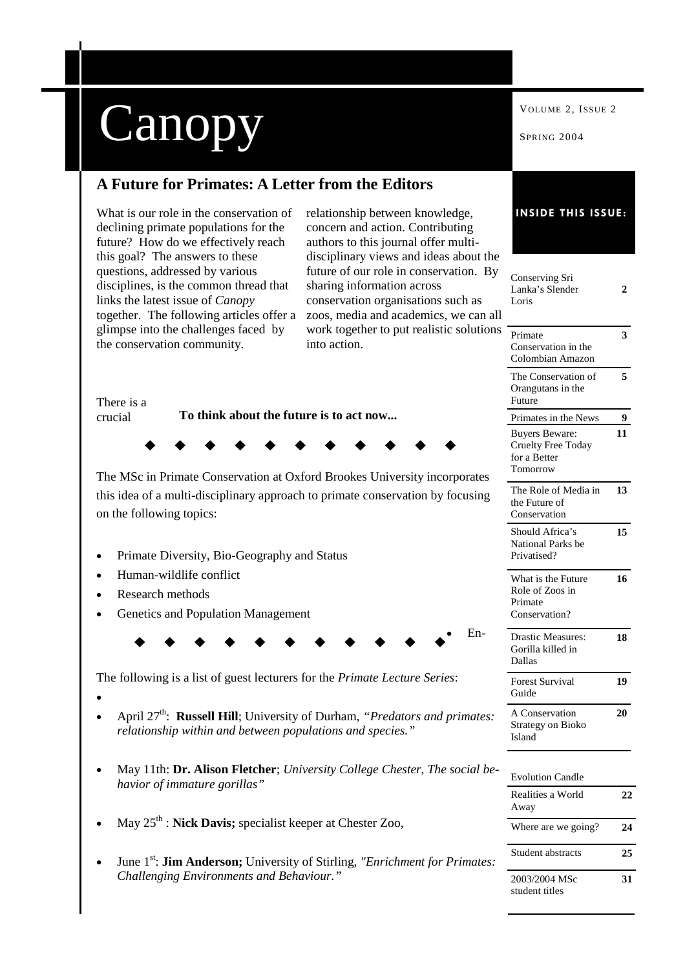|                                                                                                                                                                                                     |                                                                                                                                                                                               | VOLUME 2, ISSUE 2                                                              |    |
|-----------------------------------------------------------------------------------------------------------------------------------------------------------------------------------------------------|-----------------------------------------------------------------------------------------------------------------------------------------------------------------------------------------------|--------------------------------------------------------------------------------|----|
| Canopy                                                                                                                                                                                              |                                                                                                                                                                                               | SPRING 2004                                                                    |    |
| A Future for Primates: A Letter from the Editors                                                                                                                                                    |                                                                                                                                                                                               |                                                                                |    |
| What is our role in the conservation of<br>declining primate populations for the<br>future? How do we effectively reach                                                                             | relationship between knowledge,<br>concern and action. Contributing<br>authors to this journal offer multi-                                                                                   | <b>INSIDE THIS ISSUE:</b>                                                      |    |
| this goal? The answers to these<br>questions, addressed by various<br>disciplines, is the common thread that<br>links the latest issue of <i>Canopy</i><br>together. The following articles offer a | disciplinary views and ideas about the<br>future of our role in conservation. By<br>sharing information across<br>conservation organisations such as<br>zoos, media and academics, we can all | Conserving Sri<br>Lanka's Slender<br>Loris                                     | 2  |
| glimpse into the challenges faced by<br>the conservation community.                                                                                                                                 | work together to put realistic solutions<br>into action.                                                                                                                                      | Primate<br>Conservation in the<br>Colombian Amazon                             | 3  |
| There is a                                                                                                                                                                                          |                                                                                                                                                                                               | The Conservation of<br>Orangutans in the<br>Future                             | 5  |
| To think about the future is to act now<br>crucial                                                                                                                                                  |                                                                                                                                                                                               | Primates in the News                                                           | 9  |
|                                                                                                                                                                                                     |                                                                                                                                                                                               | <b>Buyers Beware:</b><br><b>Cruelty Free Today</b><br>for a Better<br>Tomorrow | 11 |
| The MSc in Primate Conservation at Oxford Brookes University incorporates<br>this idea of a multi-disciplinary approach to primate conservation by focusing<br>on the following topics:             |                                                                                                                                                                                               | The Role of Media in<br>the Future of<br>Conservation                          | 13 |
| Primate Diversity, Bio-Geography and Status<br>٠                                                                                                                                                    |                                                                                                                                                                                               | Should Africa's<br>National Parks be<br>Privatised?                            | 15 |
| Human-wildlife conflict<br>Research methods<br>Genetics and Population Management                                                                                                                   |                                                                                                                                                                                               | What is the Future<br>Role of Zoos in<br>Primate<br>Conservation?              | 16 |
|                                                                                                                                                                                                     | En-                                                                                                                                                                                           | <b>Drastic Measures:</b><br>Gorilla killed in<br>Dallas                        | 18 |
| The following is a list of guest lecturers for the Primate Lecture Series:                                                                                                                          |                                                                                                                                                                                               | Forest Survival<br>Guide                                                       | 19 |
| April 27 <sup>th</sup> : Russell Hill; University of Durham, " <i>Predators and primates:</i><br>relationship within and between populations and species."                                          |                                                                                                                                                                                               | A Conservation<br>Strategy on Bioko<br>Island                                  | 20 |
| May 11th: Dr. Alison Fletcher; University College Chester, The social be-<br>٠<br>havior of immature gorillas"                                                                                      |                                                                                                                                                                                               | <b>Evolution Candle</b>                                                        |    |
|                                                                                                                                                                                                     |                                                                                                                                                                                               | Realities a World<br>Away                                                      | 22 |
| May $25th$ : Nick Davis; specialist keeper at Chester Zoo,                                                                                                                                          |                                                                                                                                                                                               | Where are we going?                                                            | 24 |
| $\bullet$<br>Challenging Environments and Behaviour."                                                                                                                                               | June 1 <sup>st</sup> : <b>Jim Anderson</b> ; University of Stirling, "Enrichment for Primates:                                                                                                | Student abstracts                                                              | 25 |
|                                                                                                                                                                                                     |                                                                                                                                                                                               | 2003/2004 MSc                                                                  | 31 |

 $\blacksquare$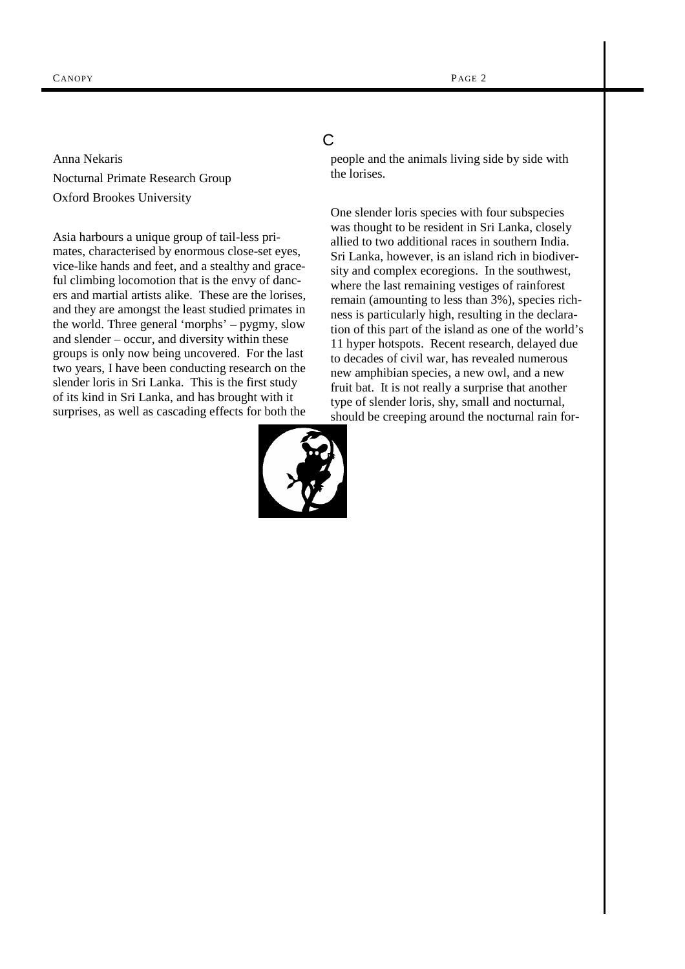Anna Nekaris Nocturnal Primate Research Group Oxford Brookes University

Asia harbours a unique group of tail-less primates, characterised by enormous close-set eyes, vice-like hands and feet, and a stealthy and graceful climbing locomotion that is the envy of dancers and martial artists alike. These are the lorises, and they are amongst the least studied primates in the world. Three general 'morphs' – pygmy, slow and slender – occur, and diversity within these groups is only now being uncovered. For the last two years, I have been conducting research on the slender loris in Sri Lanka. This is the first study of its kind in Sri Lanka, and has brought with it surprises, as well as cascading effects for both the

# C

people and the animals living side by side with the lorises.

One slender loris species with four subspecies was thought to be resident in Sri Lanka, closely allied to two additional races in southern India. Sri Lanka, however, is an island rich in biodiversity and complex ecoregions. In the southwest, where the last remaining vestiges of rainforest remain (amounting to less than 3%), species richness is particularly high, resulting in the declaration of this part of the island as one of the world's 11 hyper hotspots. Recent research, delayed due to decades of civil war, has revealed numerous new amphibian species, a new owl, and a new fruit bat. It is not really a surprise that another type of slender loris, shy, small and nocturnal, should be creeping around the nocturnal rain for-

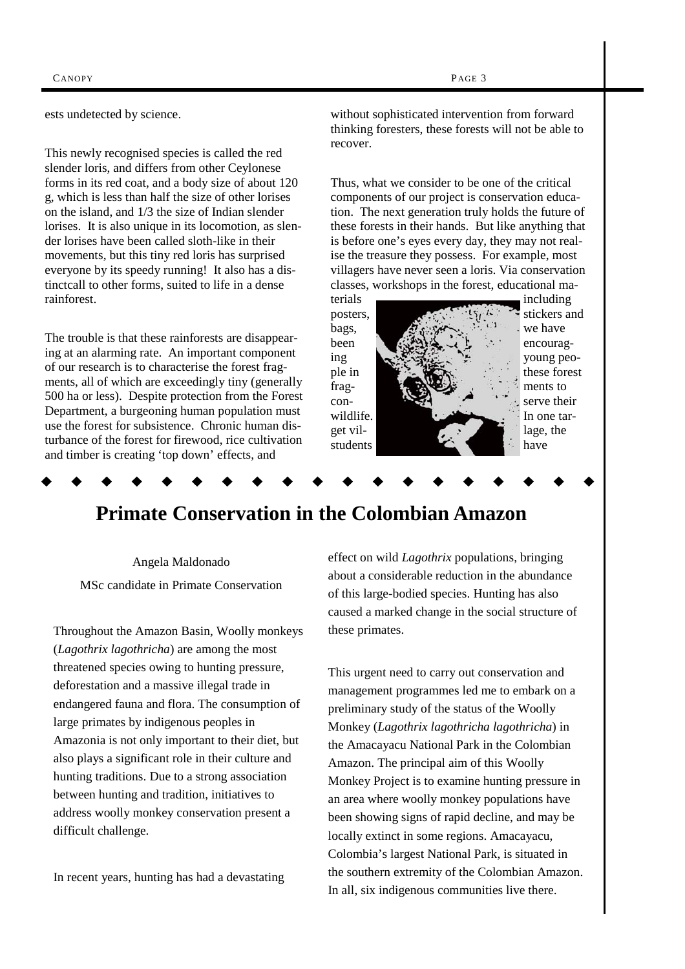ests undetected by science.

This newly recognised species is called the red slender loris, and differs from other Ceylonese forms in its red coat, and a body size of about 120 g, which is less than half the size of other lorises on the island, and 1/3 the size of Indian slender lorises. It is also unique in its locomotion, as slender lorises have been called sloth-like in their movements, but this tiny red loris has surprised everyone by its speedy running! It also has a distinctcall to other forms, suited to life in a dense rainforest.

The trouble is that these rainforests are disappearing at an alarming rate. An important component of our research is to characterise the forest fragments, all of which are exceedingly tiny (generally 500 ha or less). Despite protection from the Forest Department, a burgeoning human population must use the forest for subsistence. Chronic human disturbance of the forest for firewood, rice cultivation and timber is creating 'top down' effects, and

without sophisticated intervention from forward thinking foresters, these forests will not be able to recover.

Thus, what we consider to be one of the critical components of our project is conservation education. The next generation truly holds the future of these forests in their hands. But like anything that is before one's eyes every day, they may not realise the treasure they possess. For example, most villagers have never seen a loris. Via conservation classes, workshops in the forest, educational ma-



# **Primate Conservation in the Colombian Amazon**

Angela Maldonado MSc candidate in Primate Conservation

Throughout the Amazon Basin, Woolly monkeys (*Lagothrix lagothricha*) are among the most threatened species owing to hunting pressure, deforestation and a massive illegal trade in endangered fauna and flora. The consumption of large primates by indigenous peoples in Amazonia is not only important to their diet, but also plays a significant role in their culture and hunting traditions. Due to a strong association between hunting and tradition, initiatives to address woolly monkey conservation present a difficult challenge.

In recent years, hunting has had a devastating

effect on wild *Lagothrix* populations, bringing about a considerable reduction in the abundance of this large-bodied species. Hunting has also caused a marked change in the social structure of these primates.

This urgent need to carry out conservation and management programmes led me to embark on a preliminary study of the status of the Woolly Monkey (*Lagothrix lagothricha lagothricha*) in the Amacayacu National Park in the Colombian Amazon. The principal aim of this Woolly Monkey Project is to examine hunting pressure in an area where woolly monkey populations have been showing signs of rapid decline, and may be locally extinct in some regions. Amacayacu, Colombia's largest National Park, is situated in the southern extremity of the Colombian Amazon. In all, six indigenous communities live there.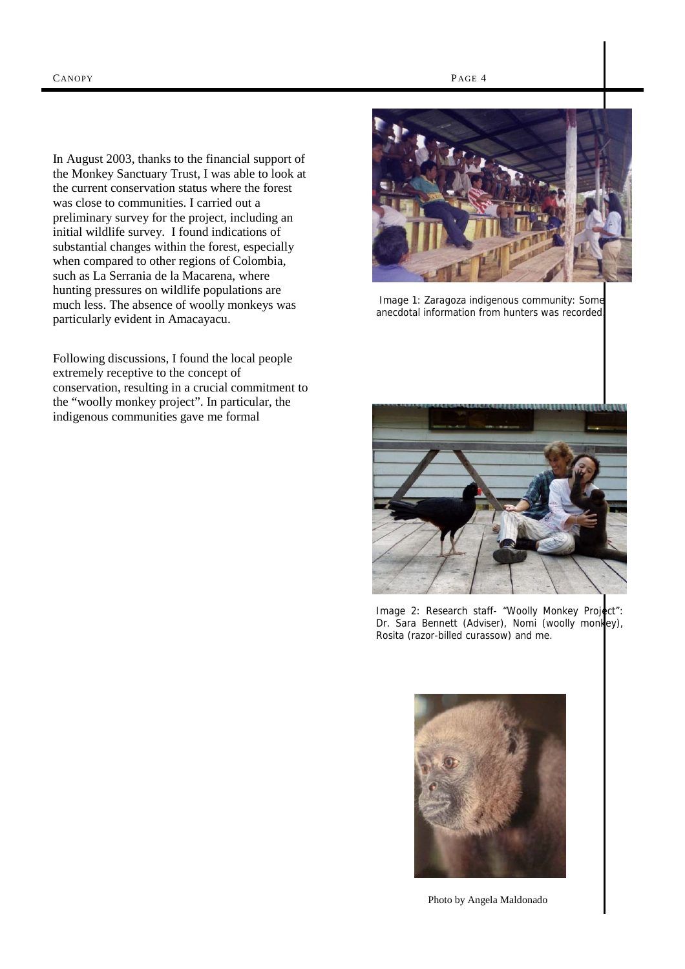In August 2003, thanks to the financial support of the Monkey Sanctuary Trust, I was able to look at the current conservation status where the forest was close to communities. I carried out a preliminary survey for the project, including an initial wildlife survey. I found indications of substantial changes within the forest, especially when compared to other regions of Colombia, such as La Serrania de la Macarena, where hunting pressures on wildlife populations are much less. The absence of woolly monkeys was particularly evident in Amacayacu.

Following discussions, I found the local people extremely receptive to the concept of conservation, resulting in a crucial commitment to the "woolly monkey project". In particular, the indigenous communities gave me formal



 Image 1: Zaragoza indigenous community: Some anecdotal information from hunters was recorded.



Image 2: Research staff- "Woolly Monkey Project": Dr. Sara Bennett (Adviser), Nomi (woolly monkey), Rosita (razor-billed curassow) and me.



Photo by Angela Maldonado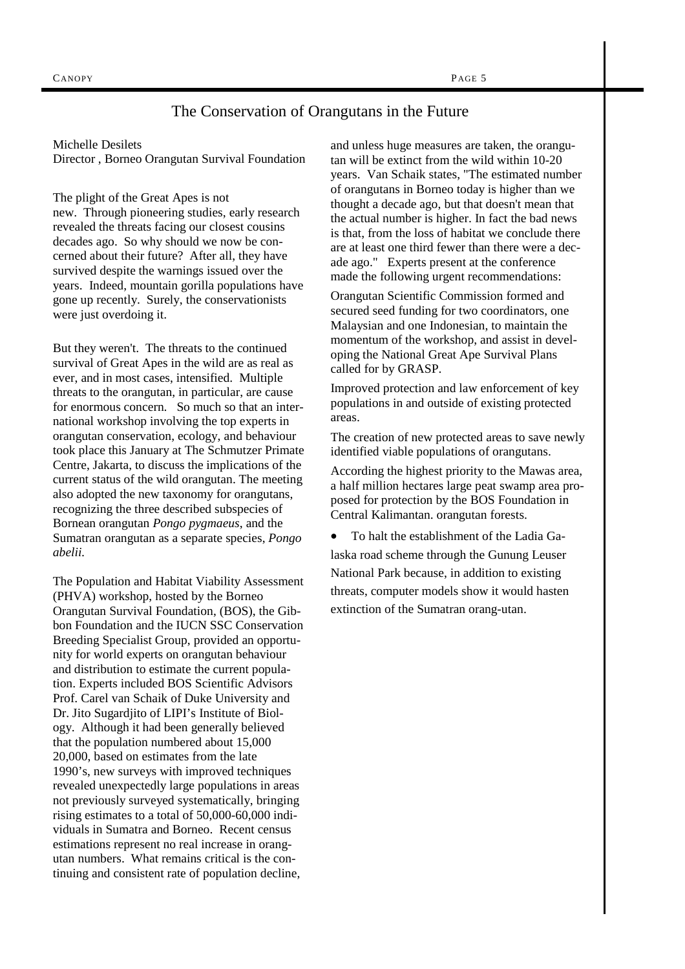## The Conservation of Orangutans in the Future

Michelle Desilets

Director , Borneo Orangutan Survival Foundation

The plight of the Great Apes is not new. Through pioneering studies, early research revealed the threats facing our closest cousins decades ago. So why should we now be concerned about their future? After all, they have survived despite the warnings issued over the years. Indeed, mountain gorilla populations have gone up recently. Surely, the conservationists were just overdoing it.

But they weren't. The threats to the continued survival of Great Apes in the wild are as real as ever, and in most cases, intensified. Multiple threats to the orangutan, in particular, are cause for enormous concern. So much so that an international workshop involving the top experts in orangutan conservation, ecology, and behaviour took place this January at The Schmutzer Primate Centre, Jakarta, to discuss the implications of the current status of the wild orangutan. The meeting also adopted the new taxonomy for orangutans, recognizing the three described subspecies of Bornean orangutan *Pongo pygmaeus*, and the Sumatran orangutan as a separate species, *Pongo abelii.* 

The Population and Habitat Viability Assessment (PHVA) workshop, hosted by the Borneo Orangutan Survival Foundation, (BOS), the Gibbon Foundation and the IUCN SSC Conservation Breeding Specialist Group, provided an opportunity for world experts on orangutan behaviour and distribution to estimate the current population. Experts included BOS Scientific Advisors Prof. Carel van Schaik of Duke University and Dr. Jito Sugardjito of LIPI's Institute of Biology. Although it had been generally believed that the population numbered about 15,000 20,000, based on estimates from the late 1990's, new surveys with improved techniques revealed unexpectedly large populations in areas not previously surveyed systematically, bringing rising estimates to a total of 50,000-60,000 individuals in Sumatra and Borneo. Recent census estimations represent no real increase in orangutan numbers. What remains critical is the continuing and consistent rate of population decline,

and unless huge measures are taken, the orangutan will be extinct from the wild within 10-20 years. Van Schaik states, "The estimated number of orangutans in Borneo today is higher than we thought a decade ago, but that doesn't mean that the actual number is higher. In fact the bad news is that, from the loss of habitat we conclude there are at least one third fewer than there were a decade ago." Experts present at the conference made the following urgent recommendations:

Orangutan Scientific Commission formed and secured seed funding for two coordinators, one Malaysian and one Indonesian, to maintain the momentum of the workshop, and assist in developing the National Great Ape Survival Plans called for by GRASP.

Improved protection and law enforcement of key populations in and outside of existing protected areas.

The creation of new protected areas to save newly identified viable populations of orangutans.

According the highest priority to the Mawas area, a half million hectares large peat swamp area proposed for protection by the BOS Foundation in Central Kalimantan. orangutan forests.

• To halt the establishment of the Ladia Galaska road scheme through the Gunung Leuser National Park because, in addition to existing threats, computer models show it would hasten extinction of the Sumatran orang-utan.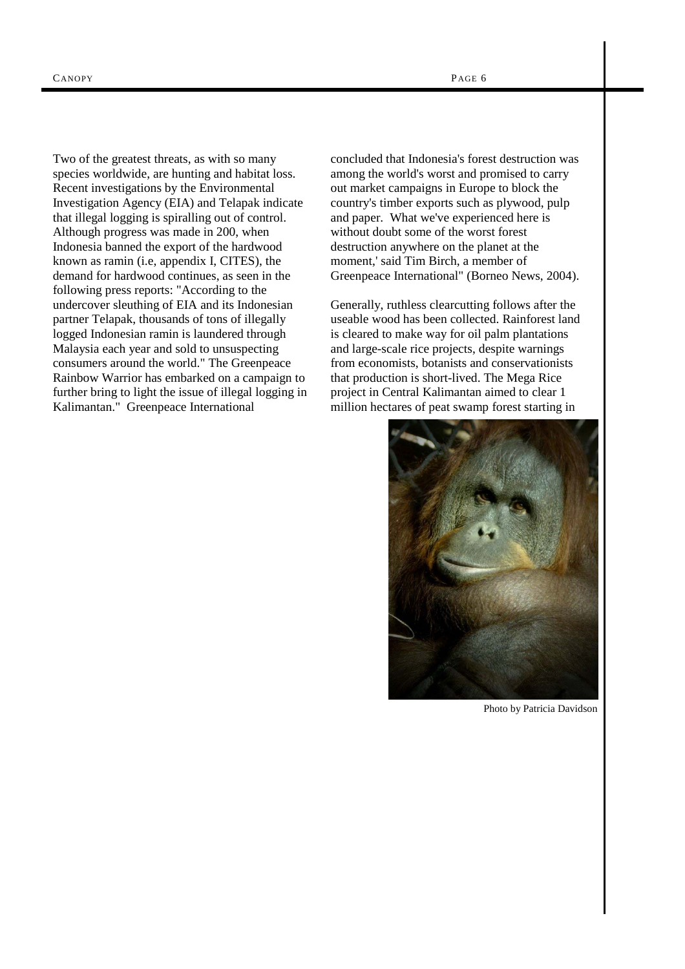Two of the greatest threats, as with so many species worldwide, are hunting and habitat loss. Recent investigations by the Environmental Investigation Agency (EIA) and Telapak indicate that illegal logging is spiralling out of control. Although progress was made in 200, when Indonesia banned the export of the hardwood known as ramin (i.e, appendix I, CITES), the demand for hardwood continues, as seen in the following press reports: "According to the undercover sleuthing of EIA and its Indonesian partner Telapak, thousands of tons of illegally logged Indonesian ramin is laundered through Malaysia each year and sold to unsuspecting consumers around the world." The Greenpeace Rainbow Warrior has embarked on a campaign to further bring to light the issue of illegal logging in Kalimantan." Greenpeace International

concluded that Indonesia's forest destruction was among the world's worst and promised to carry out market campaigns in Europe to block the country's timber exports such as plywood, pulp and paper. What we've experienced here is without doubt some of the worst forest destruction anywhere on the planet at the moment,' said Tim Birch, a member of Greenpeace International" (Borneo News, 2004).

Generally, ruthless clearcutting follows after the useable wood has been collected. Rainforest land is cleared to make way for oil palm plantations and large-scale rice projects, despite warnings from economists, botanists and conservationists that production is short-lived. The Mega Rice project in Central Kalimantan aimed to clear 1 million hectares of peat swamp forest starting in



Photo by Patricia Davidson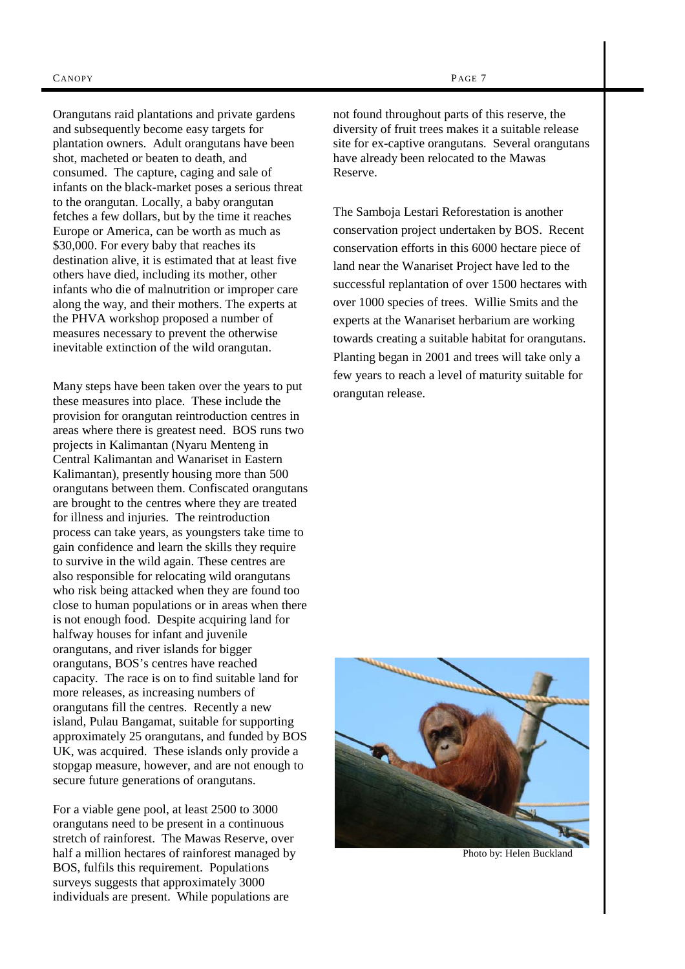Orangutans raid plantations and private gardens and subsequently become easy targets for plantation owners. Adult orangutans have been shot, macheted or beaten to death, and consumed. The capture, caging and sale of infants on the black-market poses a serious threat to the orangutan. Locally, a baby orangutan fetches a few dollars, but by the time it reaches Europe or America, can be worth as much as \$30,000. For every baby that reaches its destination alive, it is estimated that at least five others have died, including its mother, other infants who die of malnutrition or improper care along the way, and their mothers. The experts at the PHVA workshop proposed a number of measures necessary to prevent the otherwise inevitable extinction of the wild orangutan.

Many steps have been taken over the years to put these measures into place. These include the provision for orangutan reintroduction centres in areas where there is greatest need. BOS runs two projects in Kalimantan (Nyaru Menteng in Central Kalimantan and Wanariset in Eastern Kalimantan), presently housing more than 500 orangutans between them. Confiscated orangutans are brought to the centres where they are treated for illness and injuries. The reintroduction process can take years, as youngsters take time to gain confidence and learn the skills they require to survive in the wild again. These centres are also responsible for relocating wild orangutans who risk being attacked when they are found too close to human populations or in areas when there is not enough food. Despite acquiring land for halfway houses for infant and juvenile orangutans, and river islands for bigger orangutans, BOS's centres have reached capacity. The race is on to find suitable land for more releases, as increasing numbers of orangutans fill the centres. Recently a new island, Pulau Bangamat, suitable for supporting approximately 25 orangutans, and funded by BOS UK, was acquired. These islands only provide a stopgap measure, however, and are not enough to secure future generations of orangutans.

For a viable gene pool, at least 2500 to 3000 orangutans need to be present in a continuous stretch of rainforest. The Mawas Reserve, over half a million hectares of rainforest managed by BOS, fulfils this requirement. Populations surveys suggests that approximately 3000 individuals are present. While populations are

not found throughout parts of this reserve, the diversity of fruit trees makes it a suitable release site for ex-captive orangutans. Several orangutans have already been relocated to the Mawas Reserve.

The Samboja Lestari Reforestation is another conservation project undertaken by BOS. Recent conservation efforts in this 6000 hectare piece of land near the Wanariset Project have led to the successful replantation of over 1500 hectares with over 1000 species of trees. Willie Smits and the experts at the Wanariset herbarium are working towards creating a suitable habitat for orangutans. Planting began in 2001 and trees will take only a few years to reach a level of maturity suitable for orangutan release.



Photo by: Helen Buckland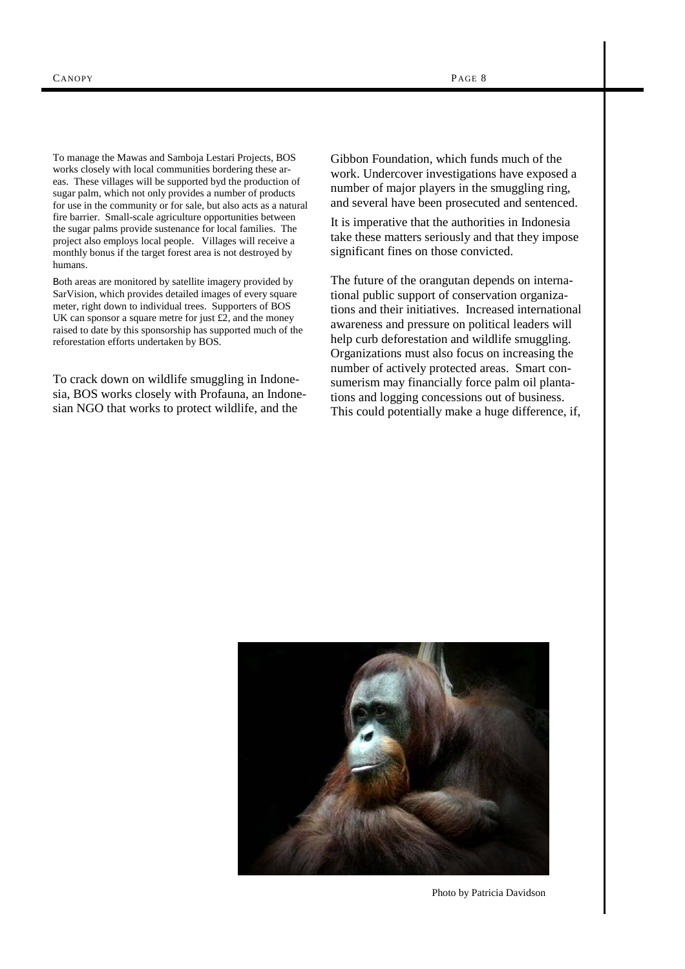To manage the Mawas and Samboja Lestari Projects, BOS works closely with local communities bordering these areas. These villages will be supported byd the production of sugar palm, which not only provides a number of products for use in the community or for sale, but also acts as a natural fire barrier. Small-scale agriculture opportunities between the sugar palms provide sustenance for local families. The project also employs local people. Villages will receive a monthly bonus if the target forest area is not destroyed by humans.

Both areas are monitored by satellite imagery provided by SarVision, which provides detailed images of every square meter, right down to individual trees. Supporters of BOS UK can sponsor a square metre for just £2, and the money raised to date by this sponsorship has supported much of the reforestation efforts undertaken by BOS.

To crack down on wildlife smuggling in Indonesia, BOS works closely with Profauna, an Indonesian NGO that works to protect wildlife, and the

Gibbon Foundation, which funds much of the work. Undercover investigations have exposed a number of major players in the smuggling ring, and several have been prosecuted and sentenced.

It is imperative that the authorities in Indonesia take these matters seriously and that they impose significant fines on those convicted.

The future of the orangutan depends on international public support of conservation organizations and their initiatives. Increased international awareness and pressure on political leaders will help curb deforestation and wildlife smuggling. Organizations must also focus on increasing the number of actively protected areas. Smart consumerism may financially force palm oil plantations and logging concessions out of business. This could potentially make a huge difference, if,



Photo by Patricia Davidson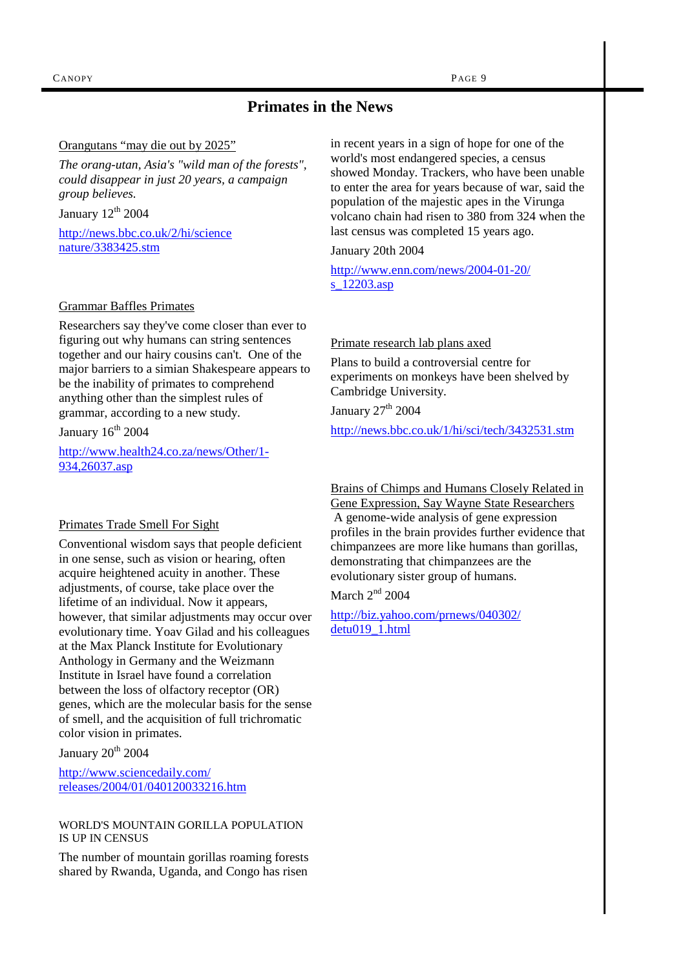# **Primates in the News**

#### Orangutans "may die out by 2025"

*The orang-utan, Asia's "wild man of the forests", could disappear in just 20 years, a campaign group believes.* 

January  $12<sup>th</sup> 2004$ 

http://news.bbc.co.uk/2/hi/science nature/3383425.stm

#### Grammar Baffles Primates

Researchers say they've come closer than ever to figuring out why humans can string sentences together and our hairy cousins can't. One of the major barriers to a simian Shakespeare appears to be the inability of primates to comprehend anything other than the simplest rules of grammar, according to a new study.

January  $16<sup>th</sup> 2004$ 

http://www.health24.co.za/news/Other/1- 934,26037.asp

#### Primates Trade Smell For Sight

Conventional wisdom says that people deficient in one sense, such as vision or hearing, often acquire heightened acuity in another. These adjustments, of course, take place over the lifetime of an individual. Now it appears, however, that similar adjustments may occur over evolutionary time. Yoav Gilad and his colleagues at the Max Planck Institute for Evolutionary Anthology in Germany and the Weizmann Institute in Israel have found a correlation between the loss of olfactory receptor (OR) genes, which are the molecular basis for the sense of smell, and the acquisition of full trichromatic color vision in primates.

January  $20^{th}$   $2004$ 

http://www.sciencedaily.com/ releases/2004/01/040120033216.htm

#### WORLD'S MOUNTAIN GORILLA POPULATION IS UP IN CENSUS

The number of mountain gorillas roaming forests shared by Rwanda, Uganda, and Congo has risen

in recent years in a sign of hope for one of the world's most endangered species, a census showed Monday. Trackers, who have been unable to enter the area for years because of war, said the population of the majestic apes in the Virunga volcano chain had risen to 380 from 324 when the last census was completed 15 years ago.

January 20th 2004

http://www.enn.com/news/2004-01-20/ s 12203.asp

#### Primate research lab plans axed

Plans to build a controversial centre for experiments on monkeys have been shelved by Cambridge University.

January  $27<sup>th</sup>$  2004

http://news.bbc.co.uk/1/hi/sci/tech/3432531.stm

Brains of Chimps and Humans Closely Related in Gene Expression, Say Wayne State Researchers A genome-wide analysis of gene expression profiles in the brain provides further evidence that chimpanzees are more like humans than gorillas, demonstrating that chimpanzees are the evolutionary sister group of humans.

March  $2<sup>nd</sup>$  2004

http://biz.yahoo.com/prnews/040302/ detu019\_1.html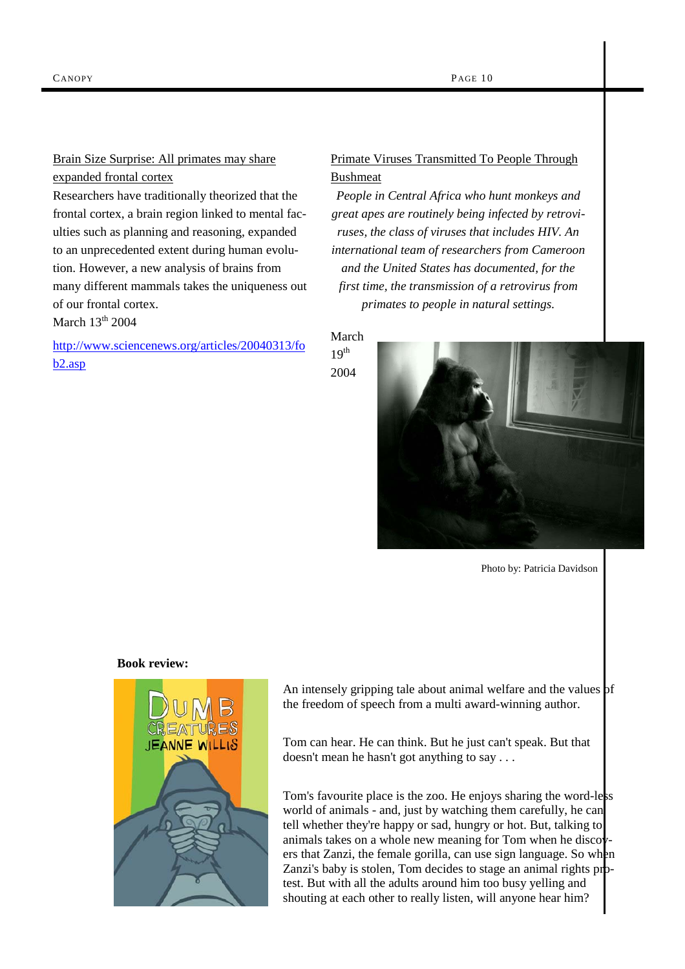## Brain Size Surprise: All primates may share expanded frontal cortex

Researchers have traditionally theorized that the frontal cortex, a brain region linked to mental faculties such as planning and reasoning, expanded to an unprecedented extent during human evolution. However, a new analysis of brains from many different mammals takes the uniqueness out of our frontal cortex.

March  $13<sup>th</sup>$  2004

http://www.sciencenews.org/articles/20040313/fo b2.asp

# Primate Viruses Transmitted To People Through Bushmeat

*People in Central Africa who hunt monkeys and great apes are routinely being infected by retroviruses, the class of viruses that includes HIV. An international team of researchers from Cameroon and the United States has documented, for the first time, the transmission of a retrovirus from primates to people in natural settings.* 

March  $19<sup>th</sup>$ 

2004



Photo by: Patricia Davidson

#### **Book review:**



An intensely gripping tale about animal welfare and the values of the freedom of speech from a multi award-winning author.

Tom can hear. He can think. But he just can't speak. But that doesn't mean he hasn't got anything to say . . .

Tom's favourite place is the zoo. He enjoys sharing the word-less world of animals - and, just by watching them carefully, he can tell whether they're happy or sad, hungry or hot. But, talking to animals takes on a whole new meaning for Tom when he discovers that Zanzi, the female gorilla, can use sign language. So when Zanzi's baby is stolen, Tom decides to stage an animal rights protest. But with all the adults around him too busy yelling and shouting at each other to really listen, will anyone hear him?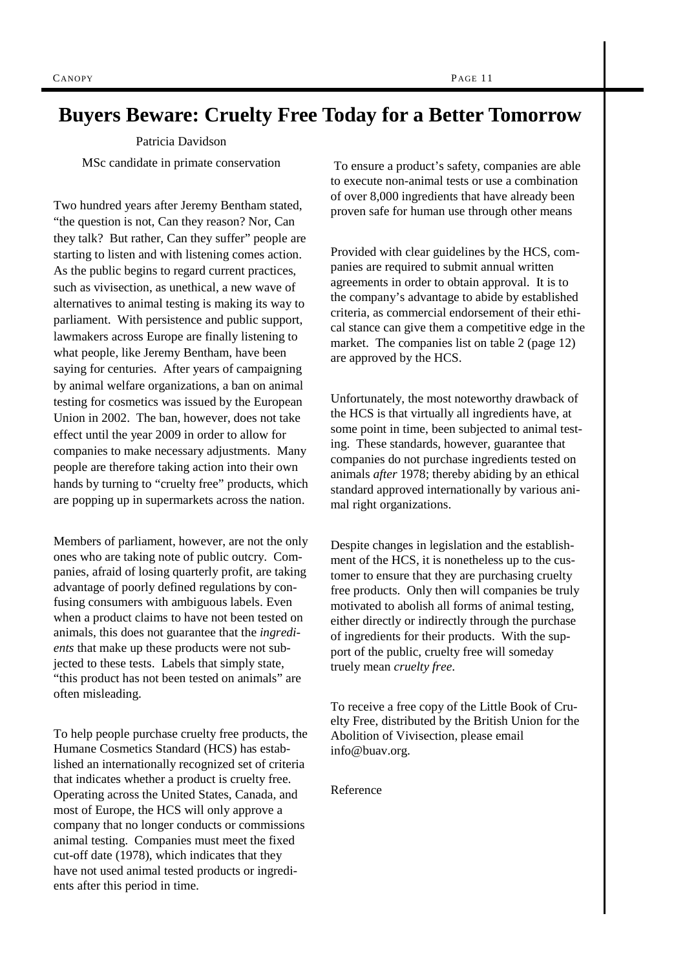# **Buyers Beware: Cruelty Free Today for a Better Tomorrow**

Patricia Davidson

MSc candidate in primate conservation

Two hundred years after Jeremy Bentham stated, "the question is not, Can they reason? Nor, Can they talk? But rather, Can they suffer" people are starting to listen and with listening comes action. As the public begins to regard current practices, such as vivisection, as unethical, a new wave of alternatives to animal testing is making its way to parliament. With persistence and public support, lawmakers across Europe are finally listening to what people, like Jeremy Bentham, have been saying for centuries. After years of campaigning by animal welfare organizations, a ban on animal testing for cosmetics was issued by the European Union in 2002. The ban, however, does not take effect until the year 2009 in order to allow for companies to make necessary adjustments. Many people are therefore taking action into their own hands by turning to "cruelty free" products, which are popping up in supermarkets across the nation.

Members of parliament, however, are not the only ones who are taking note of public outcry. Companies, afraid of losing quarterly profit, are taking advantage of poorly defined regulations by confusing consumers with ambiguous labels. Even when a product claims to have not been tested on animals, this does not guarantee that the *ingredients* that make up these products were not subjected to these tests. Labels that simply state, "this product has not been tested on animals" are often misleading.

To help people purchase cruelty free products, the Humane Cosmetics Standard (HCS) has established an internationally recognized set of criteria that indicates whether a product is cruelty free. Operating across the United States, Canada, and most of Europe, the HCS will only approve a company that no longer conducts or commissions animal testing. Companies must meet the fixed cut-off date (1978), which indicates that they have not used animal tested products or ingredients after this period in time.

 To ensure a product's safety, companies are able to execute non-animal tests or use a combination of over 8,000 ingredients that have already been proven safe for human use through other means

Provided with clear guidelines by the HCS, companies are required to submit annual written agreements in order to obtain approval. It is to the company's advantage to abide by established criteria, as commercial endorsement of their ethical stance can give them a competitive edge in the market. The companies list on table 2 (page 12) are approved by the HCS.

Unfortunately, the most noteworthy drawback of the HCS is that virtually all ingredients have, at some point in time, been subjected to animal testing. These standards, however, guarantee that companies do not purchase ingredients tested on animals *after* 1978; thereby abiding by an ethical standard approved internationally by various animal right organizations.

Despite changes in legislation and the establishment of the HCS, it is nonetheless up to the customer to ensure that they are purchasing cruelty free products. Only then will companies be truly motivated to abolish all forms of animal testing, either directly or indirectly through the purchase of ingredients for their products. With the support of the public, cruelty free will someday truely mean *cruelty free*.

To receive a free copy of the Little Book of Cruelty Free, distributed by the British Union for the Abolition of Vivisection, please email info@buav.org.

Reference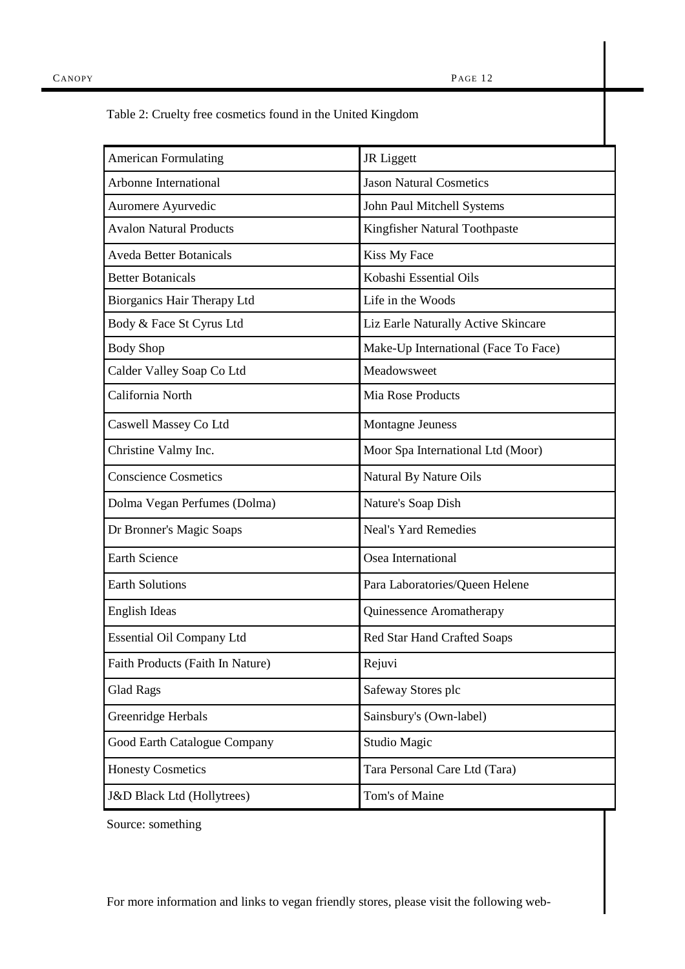| <b>American Formulating</b>           | JR Liggett                           |
|---------------------------------------|--------------------------------------|
| Arbonne International                 | <b>Jason Natural Cosmetics</b>       |
| Auromere Ayurvedic                    | John Paul Mitchell Systems           |
| <b>Avalon Natural Products</b>        | Kingfisher Natural Toothpaste        |
| <b>Aveda Better Botanicals</b>        | Kiss My Face                         |
| <b>Better Botanicals</b>              | Kobashi Essential Oils               |
| Biorganics Hair Therapy Ltd           | Life in the Woods                    |
| Body & Face St Cyrus Ltd              | Liz Earle Naturally Active Skincare  |
| <b>Body Shop</b>                      | Make-Up International (Face To Face) |
| Calder Valley Soap Co Ltd             | Meadowsweet                          |
| California North                      | <b>Mia Rose Products</b>             |
| Caswell Massey Co Ltd                 | <b>Montagne Jeuness</b>              |
| Christine Valmy Inc.                  | Moor Spa International Ltd (Moor)    |
| <b>Conscience Cosmetics</b>           | Natural By Nature Oils               |
| Dolma Vegan Perfumes (Dolma)          | Nature's Soap Dish                   |
| Dr Bronner's Magic Soaps              | <b>Neal's Yard Remedies</b>          |
| <b>Earth Science</b>                  | Osea International                   |
| <b>Earth Solutions</b>                | Para Laboratories/Queen Helene       |
| English Ideas                         | Quinessence Aromatherapy             |
| Essential Oil Company Ltd             | Red Star Hand Crafted Soaps          |
| Faith Products (Faith In Nature)      | Rejuvi                               |
| <b>Glad Rags</b>                      | Safeway Stores plc                   |
| Greenridge Herbals                    | Sainsbury's (Own-label)              |
| Good Earth Catalogue Company          | Studio Magic                         |
| <b>Honesty Cosmetics</b>              | Tara Personal Care Ltd (Tara)        |
| <b>J&amp;D Black Ltd (Hollytrees)</b> | Tom's of Maine                       |

Table 2: Cruelty free cosmetics found in the United Kingdom

Source: something

For more information and links to vegan friendly stores, please visit the following web-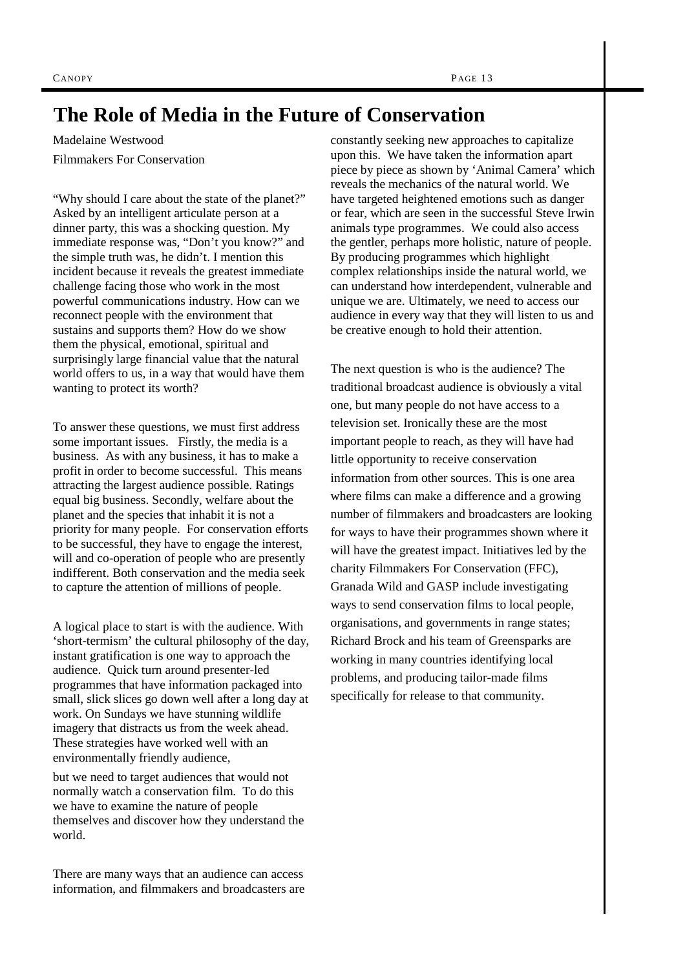# **The Role of Media in the Future of Conservation**

Madelaine Westwood Filmmakers For Conservation

"Why should I care about the state of the planet?" Asked by an intelligent articulate person at a dinner party, this was a shocking question. My immediate response was, "Don't you know?" and the simple truth was, he didn't. I mention this incident because it reveals the greatest immediate challenge facing those who work in the most powerful communications industry. How can we reconnect people with the environment that sustains and supports them? How do we show them the physical, emotional, spiritual and surprisingly large financial value that the natural world offers to us, in a way that would have them wanting to protect its worth?

To answer these questions, we must first address some important issues. Firstly, the media is a business. As with any business, it has to make a profit in order to become successful. This means attracting the largest audience possible. Ratings equal big business. Secondly, welfare about the planet and the species that inhabit it is not a priority for many people. For conservation efforts to be successful, they have to engage the interest, will and co-operation of people who are presently indifferent. Both conservation and the media seek to capture the attention of millions of people.

A logical place to start is with the audience. With 'short-termism' the cultural philosophy of the day, instant gratification is one way to approach the audience. Quick turn around presenter-led programmes that have information packaged into small, slick slices go down well after a long day at work. On Sundays we have stunning wildlife imagery that distracts us from the week ahead. These strategies have worked well with an environmentally friendly audience,

but we need to target audiences that would not normally watch a conservation film. To do this we have to examine the nature of people themselves and discover how they understand the world.

There are many ways that an audience can access information, and filmmakers and broadcasters are

constantly seeking new approaches to capitalize upon this. We have taken the information apart piece by piece as shown by 'Animal Camera' which reveals the mechanics of the natural world. We have targeted heightened emotions such as danger or fear, which are seen in the successful Steve Irwin animals type programmes. We could also access the gentler, perhaps more holistic, nature of people. By producing programmes which highlight complex relationships inside the natural world, we can understand how interdependent, vulnerable and unique we are. Ultimately, we need to access our audience in every way that they will listen to us and be creative enough to hold their attention.

The next question is who is the audience? The traditional broadcast audience is obviously a vital one, but many people do not have access to a television set. Ironically these are the most important people to reach, as they will have had little opportunity to receive conservation information from other sources. This is one area where films can make a difference and a growing number of filmmakers and broadcasters are looking for ways to have their programmes shown where it will have the greatest impact. Initiatives led by the charity Filmmakers For Conservation (FFC), Granada Wild and GASP include investigating ways to send conservation films to local people, organisations, and governments in range states; Richard Brock and his team of Greensparks are working in many countries identifying local problems, and producing tailor-made films specifically for release to that community.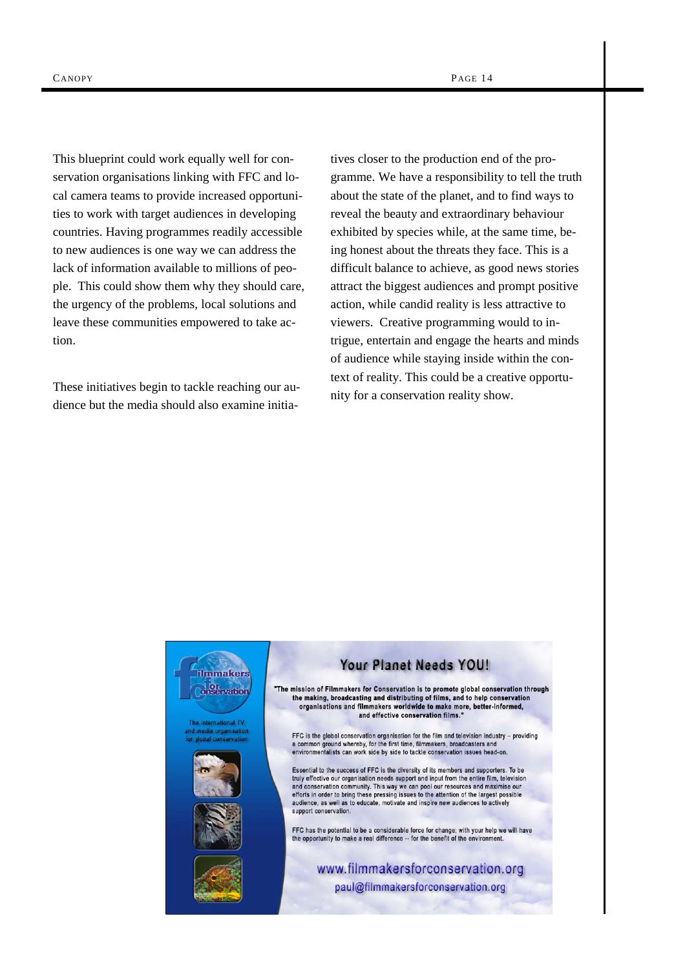This blueprint could work equally well for conservation organisations linking with FFC and local camera teams to provide increased opportunities to work with target audiences in developing countries. Having programmes readily accessible to new audiences is one way we can address the lack of information available to millions of people. This could show them why they should care, the urgency of the problems, local solutions and leave these communities empowered to take action.

These initiatives begin to tackle reaching our audience but the media should also examine initia-

tives closer to the production end of the programme. We have a responsibility to tell the truth about the state of the planet, and to find ways to reveal the beauty and extraordinary behaviour exhibited by species while, at the same time, being honest about the threats they face. This is a difficult balance to achieve, as good news stories attract the biggest audiences and prompt positive action, while candid reality is less attractive to viewers. Creative programming would to intrigue, entertain and engage the hearts and minds of audience while staying inside within the context of reality. This could be a creative opportunity for a conservation reality show.

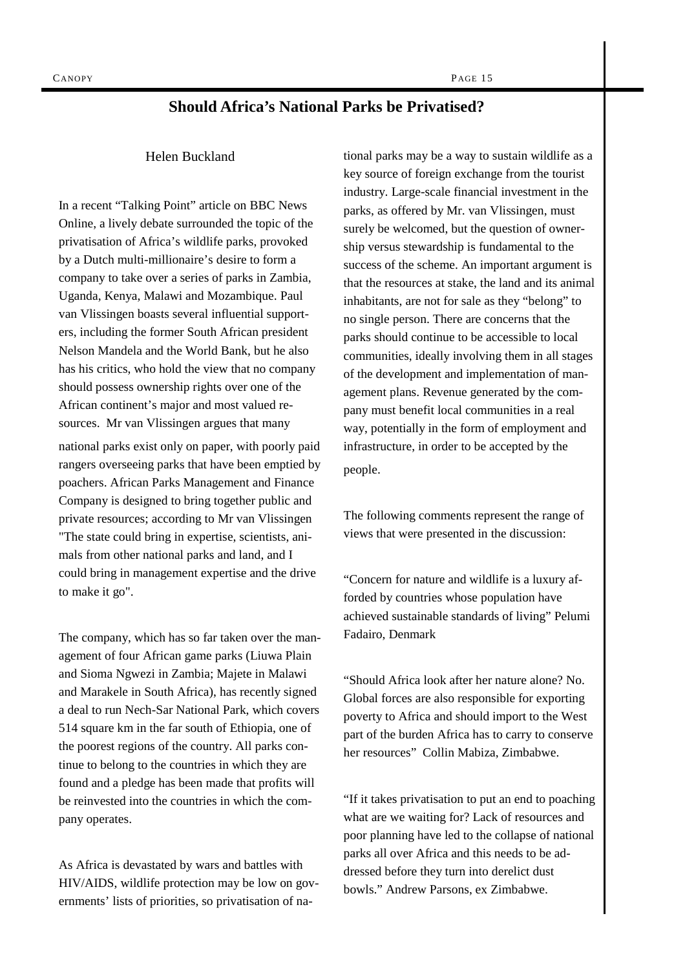## **Should Africa's National Parks be Privatised?**

#### Helen Buckland

In a recent "Talking Point" article on BBC News Online, a lively debate surrounded the topic of the privatisation of Africa's wildlife parks, provoked by a Dutch multi-millionaire's desire to form a company to take over a series of parks in Zambia, Uganda, Kenya, Malawi and Mozambique. Paul van Vlissingen boasts several influential supporters, including the former South African president Nelson Mandela and the World Bank, but he also has his critics, who hold the view that no company should possess ownership rights over one of the African continent's major and most valued resources. Mr van Vlissingen argues that many national parks exist only on paper, with poorly paid rangers overseeing parks that have been emptied by poachers. African Parks Management and Finance Company is designed to bring together public and private resources; according to Mr van Vlissingen "The state could bring in expertise, scientists, animals from other national parks and land, and I could bring in management expertise and the drive to make it go".

The company, which has so far taken over the management of four African game parks (Liuwa Plain and Sioma Ngwezi in Zambia; Majete in Malawi and Marakele in South Africa), has recently signed a deal to run Nech-Sar National Park, which covers 514 square km in the far south of Ethiopia, one of the poorest regions of the country. All parks continue to belong to the countries in which they are found and a pledge has been made that profits will be reinvested into the countries in which the company operates.

As Africa is devastated by wars and battles with HIV/AIDS, wildlife protection may be low on governments' lists of priorities, so privatisation of national parks may be a way to sustain wildlife as a key source of foreign exchange from the tourist industry. Large-scale financial investment in the parks, as offered by Mr. van Vlissingen, must surely be welcomed, but the question of ownership versus stewardship is fundamental to the success of the scheme. An important argument is that the resources at stake, the land and its animal inhabitants, are not for sale as they "belong" to no single person. There are concerns that the parks should continue to be accessible to local communities, ideally involving them in all stages of the development and implementation of management plans. Revenue generated by the company must benefit local communities in a real way, potentially in the form of employment and infrastructure, in order to be accepted by the people.

The following comments represent the range of views that were presented in the discussion:

"Concern for nature and wildlife is a luxury afforded by countries whose population have achieved sustainable standards of living" Pelumi Fadairo, Denmark

"Should Africa look after her nature alone? No. Global forces are also responsible for exporting poverty to Africa and should import to the West part of the burden Africa has to carry to conserve her resources" Collin Mabiza, Zimbabwe.

"If it takes privatisation to put an end to poaching what are we waiting for? Lack of resources and poor planning have led to the collapse of national parks all over Africa and this needs to be addressed before they turn into derelict dust bowls." Andrew Parsons, ex Zimbabwe.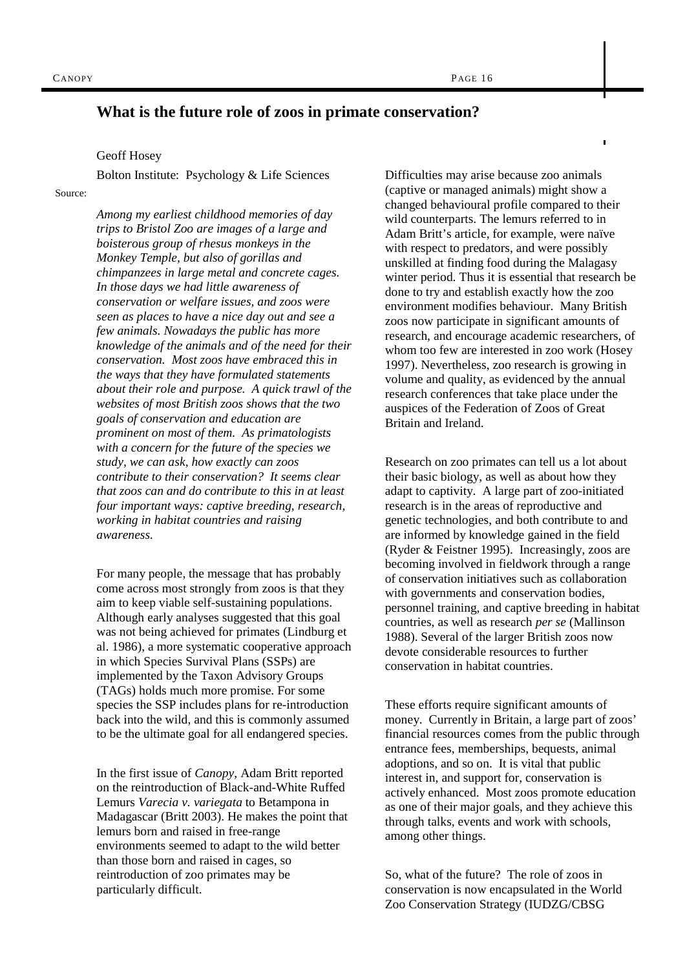## **What is the future role of zoos in primate conservation?**

#### Geoff Hosey

Bolton Institute: Psychology & Life Sciences

Source:

*Among my earliest childhood memories of day trips to Bristol Zoo are images of a large and boisterous group of rhesus monkeys in the Monkey Temple, but also of gorillas and chimpanzees in large metal and concrete cages. In those days we had little awareness of conservation or welfare issues, and zoos were seen as places to have a nice day out and see a few animals. Nowadays the public has more knowledge of the animals and of the need for their conservation. Most zoos have embraced this in the ways that they have formulated statements about their role and purpose. A quick trawl of the websites of most British zoos shows that the two goals of conservation and education are prominent on most of them. As primatologists with a concern for the future of the species we study, we can ask, how exactly can zoos contribute to their conservation? It seems clear that zoos can and do contribute to this in at least four important ways: captive breeding, research, working in habitat countries and raising awareness.* 

For many people, the message that has probably come across most strongly from zoos is that they aim to keep viable self-sustaining populations. Although early analyses suggested that this goal was not being achieved for primates (Lindburg et al. 1986), a more systematic cooperative approach in which Species Survival Plans (SSPs) are implemented by the Taxon Advisory Groups (TAGs) holds much more promise. For some species the SSP includes plans for re-introduction back into the wild, and this is commonly assumed to be the ultimate goal for all endangered species.

In the first issue of *Canopy*, Adam Britt reported on the reintroduction of Black-and-White Ruffed Lemurs *Varecia v. variegata* to Betampona in Madagascar (Britt 2003). He makes the point that lemurs born and raised in free-range environments seemed to adapt to the wild better than those born and raised in cages, so reintroduction of zoo primates may be particularly difficult.

Difficulties may arise because zoo animals (captive or managed animals) might show a changed behavioural profile compared to their wild counterparts. The lemurs referred to in Adam Britt's article, for example, were naïve with respect to predators, and were possibly unskilled at finding food during the Malagasy winter period. Thus it is essential that research be done to try and establish exactly how the zoo environment modifies behaviour. Many British zoos now participate in significant amounts of research, and encourage academic researchers, of whom too few are interested in zoo work (Hosey 1997). Nevertheless, zoo research is growing in volume and quality, as evidenced by the annual research conferences that take place under the auspices of the Federation of Zoos of Great Britain and Ireland.

Ï

Research on zoo primates can tell us a lot about their basic biology, as well as about how they adapt to captivity. A large part of zoo-initiated research is in the areas of reproductive and genetic technologies, and both contribute to and are informed by knowledge gained in the field (Ryder & Feistner 1995). Increasingly, zoos are becoming involved in fieldwork through a range of conservation initiatives such as collaboration with governments and conservation bodies, personnel training, and captive breeding in habitat countries, as well as research *per se* (Mallinson 1988). Several of the larger British zoos now devote considerable resources to further conservation in habitat countries.

These efforts require significant amounts of money. Currently in Britain, a large part of zoos' financial resources comes from the public through entrance fees, memberships, bequests, animal adoptions, and so on. It is vital that public interest in, and support for, conservation is actively enhanced. Most zoos promote education as one of their major goals, and they achieve this through talks, events and work with schools, among other things.

So, what of the future? The role of zoos in conservation is now encapsulated in the World Zoo Conservation Strategy (IUDZG/CBSG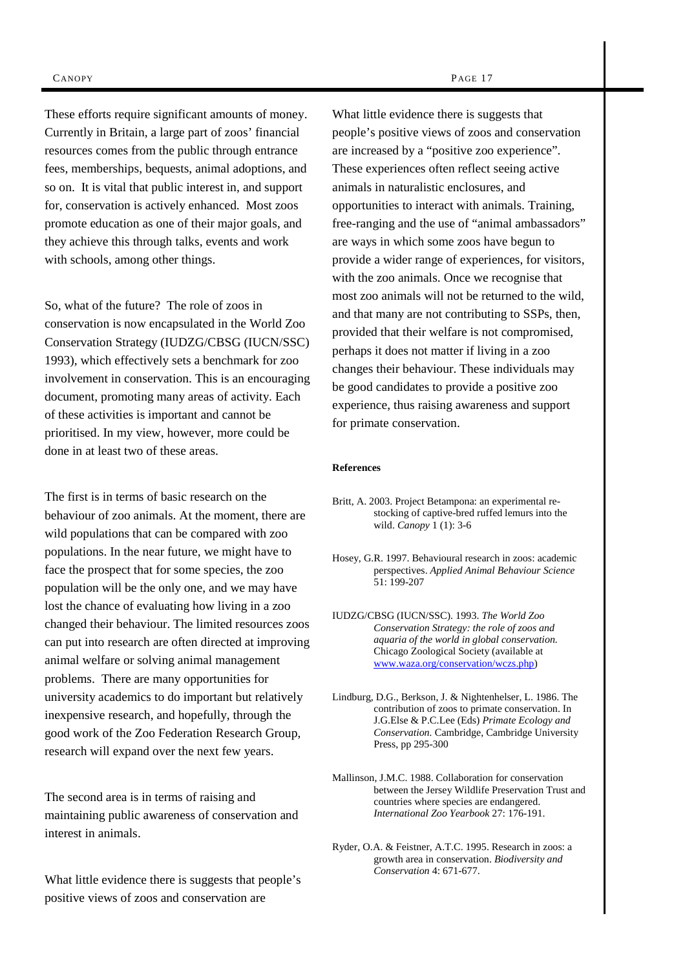These efforts require significant amounts of money. Currently in Britain, a large part of zoos' financial resources comes from the public through entrance fees, memberships, bequests, animal adoptions, and so on. It is vital that public interest in, and support for, conservation is actively enhanced. Most zoos promote education as one of their major goals, and they achieve this through talks, events and work with schools, among other things.

So, what of the future? The role of zoos in conservation is now encapsulated in the World Zoo Conservation Strategy (IUDZG/CBSG (IUCN/SSC) 1993), which effectively sets a benchmark for zoo involvement in conservation. This is an encouraging document, promoting many areas of activity. Each of these activities is important and cannot be prioritised. In my view, however, more could be done in at least two of these areas.

The first is in terms of basic research on the behaviour of zoo animals. At the moment, there are wild populations that can be compared with zoo populations. In the near future, we might have to face the prospect that for some species, the zoo population will be the only one, and we may have lost the chance of evaluating how living in a zoo changed their behaviour. The limited resources zoos can put into research are often directed at improving animal welfare or solving animal management problems. There are many opportunities for university academics to do important but relatively inexpensive research, and hopefully, through the good work of the Zoo Federation Research Group, research will expand over the next few years.

The second area is in terms of raising and maintaining public awareness of conservation and interest in animals.

What little evidence there is suggests that people's positive views of zoos and conservation are

What little evidence there is suggests that people's positive views of zoos and conservation are increased by a "positive zoo experience". These experiences often reflect seeing active animals in naturalistic enclosures, and opportunities to interact with animals. Training, free-ranging and the use of "animal ambassadors" are ways in which some zoos have begun to provide a wider range of experiences, for visitors, with the zoo animals. Once we recognise that most zoo animals will not be returned to the wild, and that many are not contributing to SSPs, then, provided that their welfare is not compromised, perhaps it does not matter if living in a zoo changes their behaviour. These individuals may be good candidates to provide a positive zoo experience, thus raising awareness and support for primate conservation.

#### **References**

- Britt, A. 2003. Project Betampona: an experimental restocking of captive-bred ruffed lemurs into the wild. *Canopy* 1 (1): 3-6
- Hosey, G.R. 1997. Behavioural research in zoos: academic perspectives. *Applied Animal Behaviour Science*  51: 199-207
- IUDZG/CBSG (IUCN/SSC). 1993. *The World Zoo Conservation Strategy: the role of zoos and aquaria of the world in global conservation.*  Chicago Zoological Society (available at www.waza.org/conservation/wczs.php)
- Lindburg, D.G., Berkson, J. & Nightenhelser, L. 1986. The contribution of zoos to primate conservation. In J.G.Else & P.C.Lee (Eds) *Primate Ecology and Conservation.* Cambridge, Cambridge University Press, pp 295-300
- Mallinson, J.M.C. 1988. Collaboration for conservation between the Jersey Wildlife Preservation Trust and countries where species are endangered. *International Zoo Yearbook* 27: 176-191.
- Ryder, O.A. & Feistner, A.T.C. 1995. Research in zoos: a growth area in conservation. *Biodiversity and Conservation* 4: 671-677.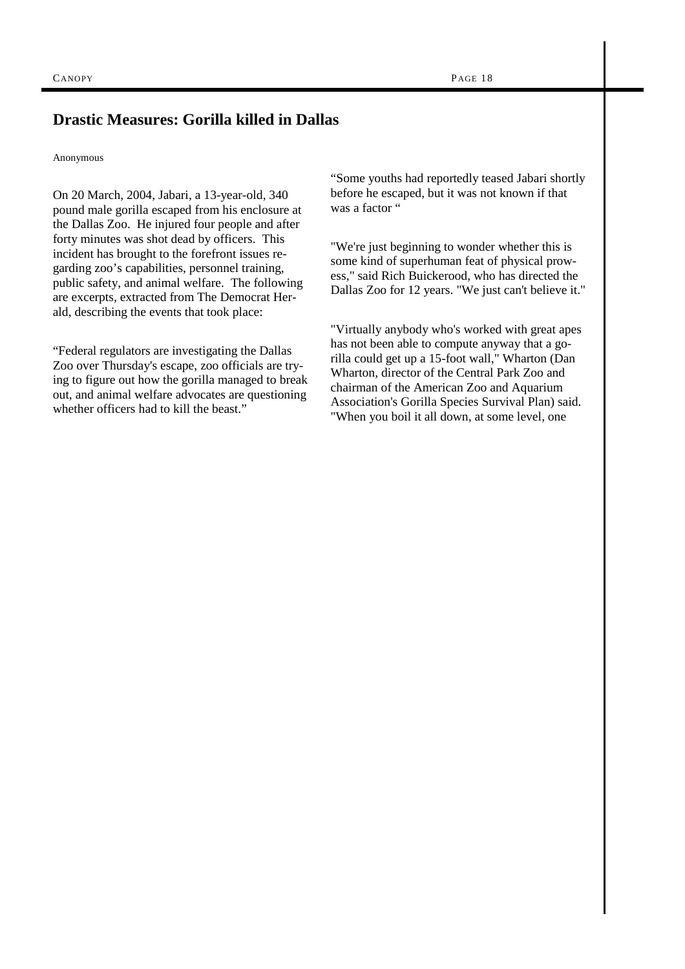# **Drastic Measures: Gorilla killed in Dallas**

#### Anonymous

On 20 March, 2004, Jabari, a 13-year-old, 340 pound male gorilla escaped from his enclosure at the Dallas Zoo. He injured four people and after forty minutes was shot dead by officers. This incident has brought to the forefront issues regarding zoo's capabilities, personnel training, public safety, and animal welfare. The following are excerpts, extracted from The Democrat Herald, describing the events that took place:

"Federal regulators are investigating the Dallas Zoo over Thursday's escape, zoo officials are trying to figure out how the gorilla managed to break out, and animal welfare advocates are questioning whether officers had to kill the beast."

"Some youths had reportedly teased Jabari shortly before he escaped, but it was not known if that was a factor "

"We're just beginning to wonder whether this is some kind of superhuman feat of physical prowess," said Rich Buickerood, who has directed the Dallas Zoo for 12 years. "We just can't believe it."

"Virtually anybody who's worked with great apes has not been able to compute anyway that a gorilla could get up a 15-foot wall," Wharton (Dan Wharton, director of the Central Park Zoo and chairman of the American Zoo and Aquarium Association's Gorilla Species Survival Plan) said. "When you boil it all down, at some level, one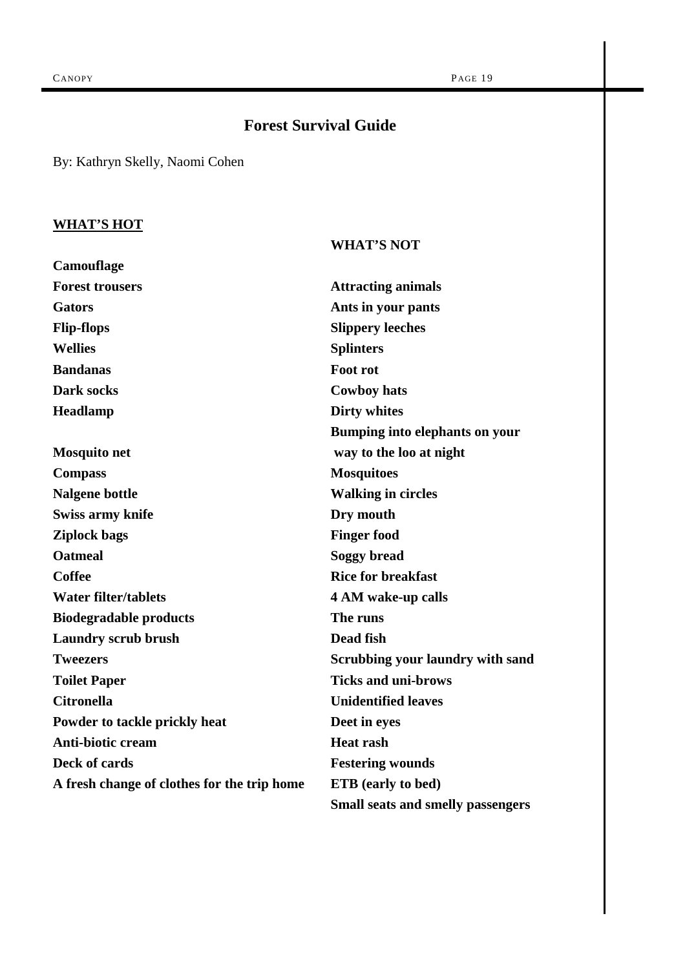# **Forest Survival Guide**

By: Kathryn Skelly, Naomi Cohen

# **WHAT'S HOT**

**Camouflage** 

# **WHAT'S NOT**

| <b>Forest trousers</b>                      | <b>Attracting animals</b>                |
|---------------------------------------------|------------------------------------------|
| <b>Gators</b>                               | Ants in your pants                       |
| <b>Flip-flops</b>                           | <b>Slippery leeches</b>                  |
| <b>Wellies</b>                              | <b>Splinters</b>                         |
| <b>Bandanas</b>                             | Foot rot                                 |
| Dark socks                                  | <b>Cowboy hats</b>                       |
| <b>Headlamp</b>                             | <b>Dirty whites</b>                      |
|                                             | Bumping into elephants on your           |
| <b>Mosquito net</b>                         | way to the loo at night                  |
| <b>Compass</b>                              | <b>Mosquitoes</b>                        |
| <b>Nalgene bottle</b>                       | <b>Walking in circles</b>                |
| <b>Swiss army knife</b>                     | Dry mouth                                |
| <b>Ziplock bags</b>                         | <b>Finger food</b>                       |
| <b>Oatmeal</b>                              | <b>Soggy bread</b>                       |
| <b>Coffee</b>                               | <b>Rice for breakfast</b>                |
| <b>Water filter/tablets</b>                 | 4 AM wake-up calls                       |
| <b>Biodegradable products</b>               | The runs                                 |
| <b>Laundry scrub brush</b>                  | Dead fish                                |
| <b>Tweezers</b>                             | <b>Scrubbing your laundry with sand</b>  |
| <b>Toilet Paper</b>                         | <b>Ticks and uni-brows</b>               |
| <b>Citronella</b>                           | <b>Unidentified leaves</b>               |
| Powder to tackle prickly heat               | Deet in eyes                             |
| Anti-biotic cream                           | <b>Heat rash</b>                         |
| Deck of cards                               | <b>Festering wounds</b>                  |
| A fresh change of clothes for the trip home | <b>ETB</b> (early to bed)                |
|                                             | <b>Small seats and smelly passengers</b> |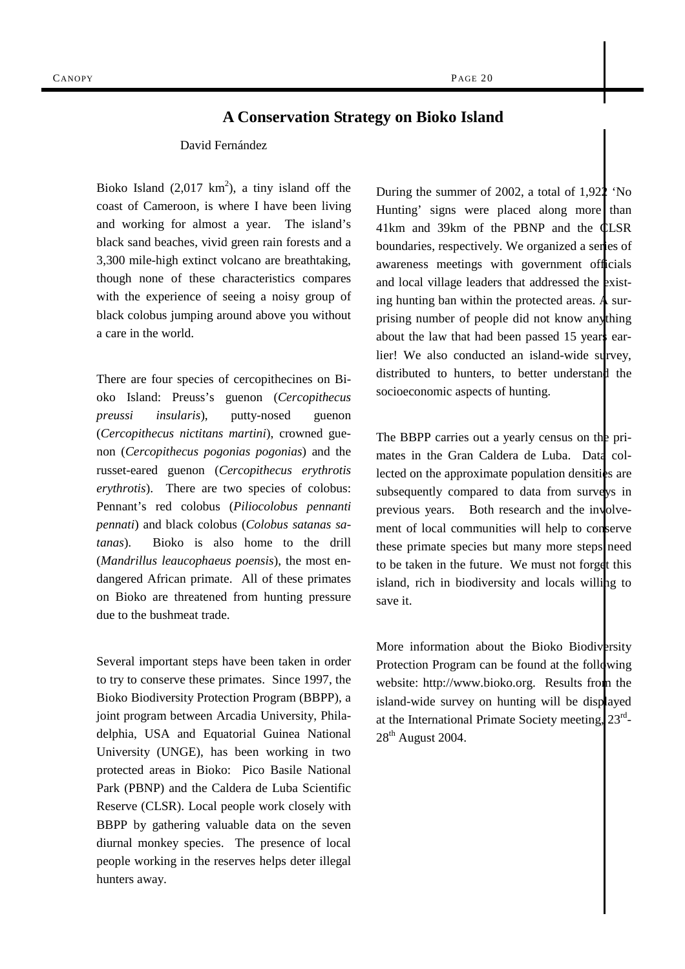### **A Conservation Strategy on Bioko Island**

#### David Fernández

Bioko Island  $(2,017 \text{ km}^2)$ , a tiny island off the coast of Cameroon, is where I have been living and working for almost a year. The island's black sand beaches, vivid green rain forests and a 3,300 mile-high extinct volcano are breathtaking, though none of these characteristics compares with the experience of seeing a noisy group of black colobus jumping around above you without a care in the world.

There are four species of cercopithecines on Bioko Island: Preuss's guenon (*Cercopithecus preussi insularis*), putty-nosed guenon (*Cercopithecus nictitans martini*), crowned guenon (*Cercopithecus pogonias pogonias*) and the russet-eared guenon (*Cercopithecus erythrotis erythrotis*). There are two species of colobus: Pennant's red colobus (*Piliocolobus pennanti pennati*) and black colobus (*Colobus satanas satanas*). Bioko is also home to the drill (*Mandrillus leaucophaeus poensis*), the most endangered African primate. All of these primates on Bioko are threatened from hunting pressure due to the bushmeat trade.

Several important steps have been taken in order to try to conserve these primates. Since 1997, the Bioko Biodiversity Protection Program (BBPP), a joint program between Arcadia University, Philadelphia, USA and Equatorial Guinea National University (UNGE), has been working in two protected areas in Bioko: Pico Basile National Park (PBNP) and the Caldera de Luba Scientific Reserve (CLSR). Local people work closely with BBPP by gathering valuable data on the seven diurnal monkey species. The presence of local people working in the reserves helps deter illegal hunters away.

During the summer of 2002, a total of 1,922 'No Hunting' signs were placed along more than 41km and 39km of the PBNP and the CLSR boundaries, respectively. We organized a series of awareness meetings with government officials and local village leaders that addressed the existing hunting ban within the protected areas. A surprising number of people did not know anything about the law that had been passed 15 years earlier! We also conducted an island-wide survey, distributed to hunters, to better understand the socioeconomic aspects of hunting.

The BBPP carries out a yearly census on the primates in the Gran Caldera de Luba. Data collected on the approximate population densities are subsequently compared to data from surveys in previous years. Both research and the involvement of local communities will help to conserve these primate species but many more steps need to be taken in the future. We must not forget this island, rich in biodiversity and locals willing to save it.

More information about the Bioko Biodiversity Protection Program can be found at the following website: http://www.bioko.org. Results from the island-wide survey on hunting will be displayed at the International Primate Society meeting,  $23<sup>rd</sup>$ -28<sup>th</sup> August 2004.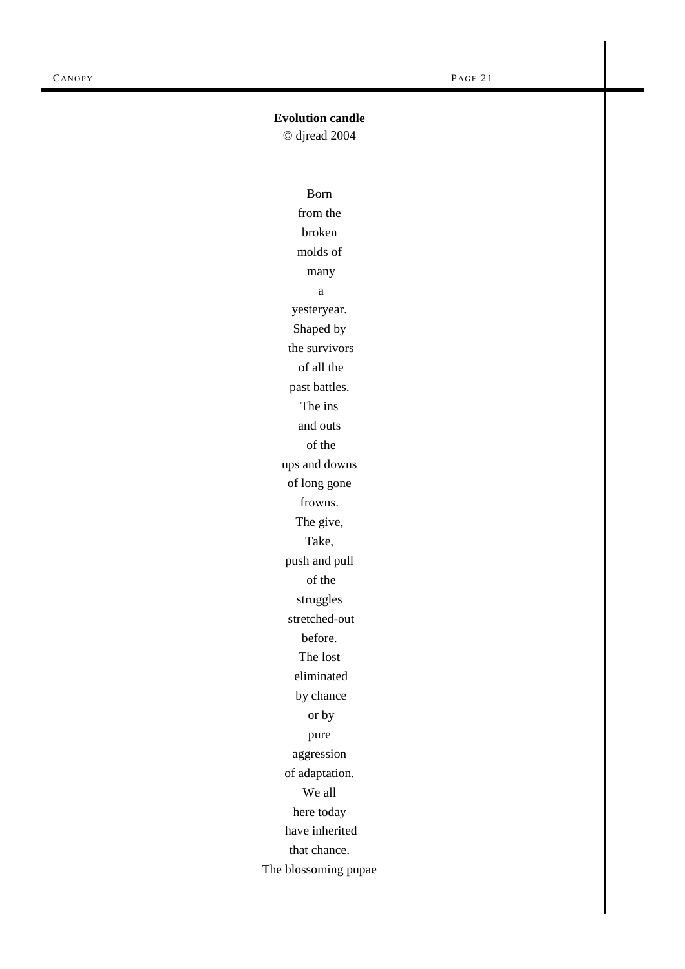### **Evolution candle**

© djread 2004

Born from the broken molds of many a yesteryear. Shaped by the survivors of all the past battles. The ins and outs of the ups and downs of long gone frowns. The give, Take, push and pull of the struggles stretched-out before. The lost eliminated by chance or by pure aggression of adaptation. We all here today have inherited that chance. The blossoming pupae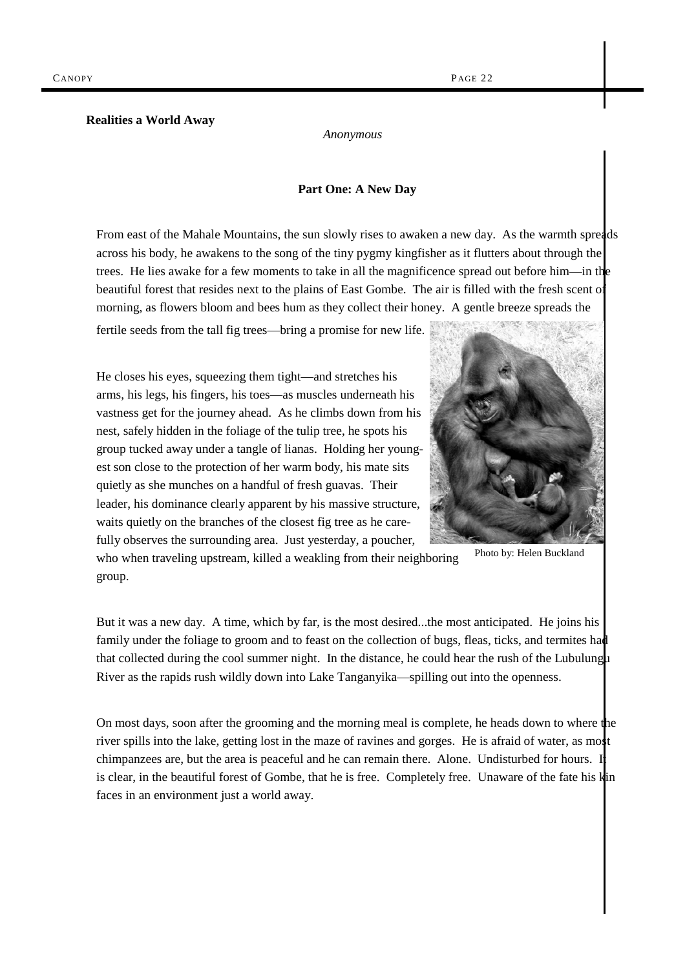#### **Realities a World Away**

*Anonymous* 

#### **Part One: A New Day**

From east of the Mahale Mountains, the sun slowly rises to awaken a new day. As the warmth spreads across his body, he awakens to the song of the tiny pygmy kingfisher as it flutters about through the trees. He lies awake for a few moments to take in all the magnificence spread out before him—in the beautiful forest that resides next to the plains of East Gombe. The air is filled with the fresh scent of morning, as flowers bloom and bees hum as they collect their honey. A gentle breeze spreads the

fertile seeds from the tall fig trees—bring a promise for new life.

He closes his eyes, squeezing them tight—and stretches his arms, his legs, his fingers, his toes—as muscles underneath his vastness get for the journey ahead. As he climbs down from his nest, safely hidden in the foliage of the tulip tree, he spots his group tucked away under a tangle of lianas. Holding her youngest son close to the protection of her warm body, his mate sits quietly as she munches on a handful of fresh guavas. Their leader, his dominance clearly apparent by his massive structure, waits quietly on the branches of the closest fig tree as he carefully observes the surrounding area. Just yesterday, a poucher,



Photo by: Helen Buckland

who when traveling upstream, killed a weakling from their neighboring group.

But it was a new day. A time, which by far, is the most desired...the most anticipated. He joins his family under the foliage to groom and to feast on the collection of bugs, fleas, ticks, and termites had that collected during the cool summer night. In the distance, he could hear the rush of the Lubulungu River as the rapids rush wildly down into Lake Tanganyika—spilling out into the openness.

On most days, soon after the grooming and the morning meal is complete, he heads down to where the river spills into the lake, getting lost in the maze of ravines and gorges. He is afraid of water, as most chimpanzees are, but the area is peaceful and he can remain there. Alone. Undisturbed for hours. It is clear, in the beautiful forest of Gombe, that he is free. Completely free. Unaware of the fate his kin faces in an environment just a world away.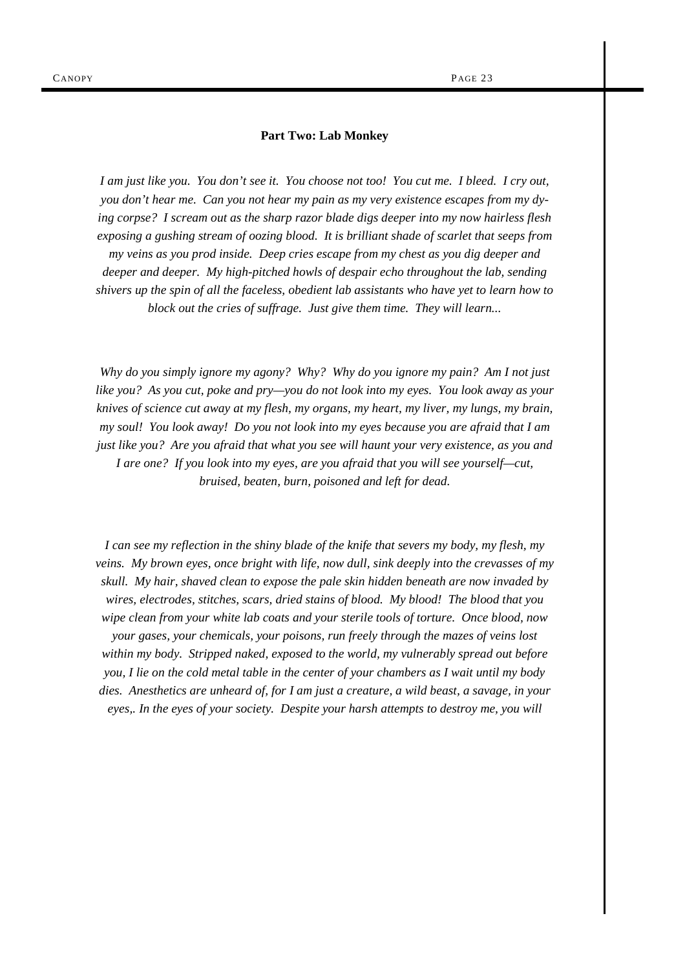#### **Part Two: Lab Monkey**

*I am just like you. You don't see it. You choose not too! You cut me. I bleed. I cry out, you don't hear me. Can you not hear my pain as my very existence escapes from my dying corpse? I scream out as the sharp razor blade digs deeper into my now hairless flesh exposing a gushing stream of oozing blood. It is brilliant shade of scarlet that seeps from my veins as you prod inside. Deep cries escape from my chest as you dig deeper and deeper and deeper. My high-pitched howls of despair echo throughout the lab, sending shivers up the spin of all the faceless, obedient lab assistants who have yet to learn how to block out the cries of suffrage. Just give them time. They will learn...* 

*Why do you simply ignore my agony? Why? Why do you ignore my pain? Am I not just like you? As you cut, poke and pry—you do not look into my eyes. You look away as your knives of science cut away at my flesh, my organs, my heart, my liver, my lungs, my brain, my soul! You look away! Do you not look into my eyes because you are afraid that I am just like you? Are you afraid that what you see will haunt your very existence, as you and I are one? If you look into my eyes, are you afraid that you will see yourself—cut, bruised, beaten, burn, poisoned and left for dead.* 

*I can see my reflection in the shiny blade of the knife that severs my body, my flesh, my veins. My brown eyes, once bright with life, now dull, sink deeply into the crevasses of my skull. My hair, shaved clean to expose the pale skin hidden beneath are now invaded by wires, electrodes, stitches, scars, dried stains of blood. My blood! The blood that you wipe clean from your white lab coats and your sterile tools of torture. Once blood, now your gases, your chemicals, your poisons, run freely through the mazes of veins lost within my body. Stripped naked, exposed to the world, my vulnerably spread out before you, I lie on the cold metal table in the center of your chambers as I wait until my body dies. Anesthetics are unheard of, for I am just a creature, a wild beast, a savage, in your eyes,. In the eyes of your society. Despite your harsh attempts to destroy me, you will*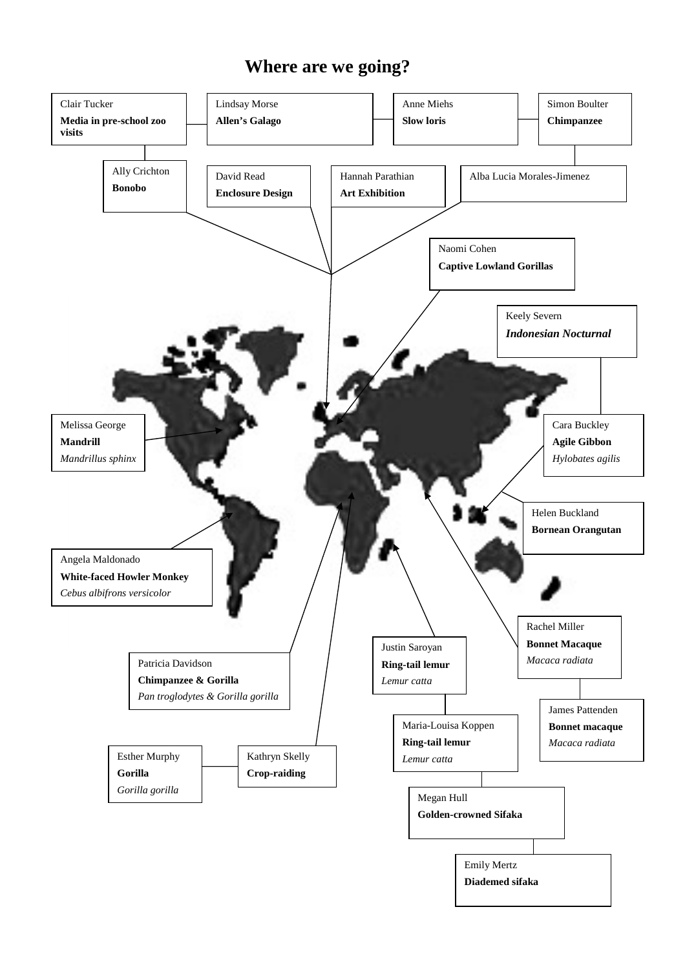# **Where are we going?**

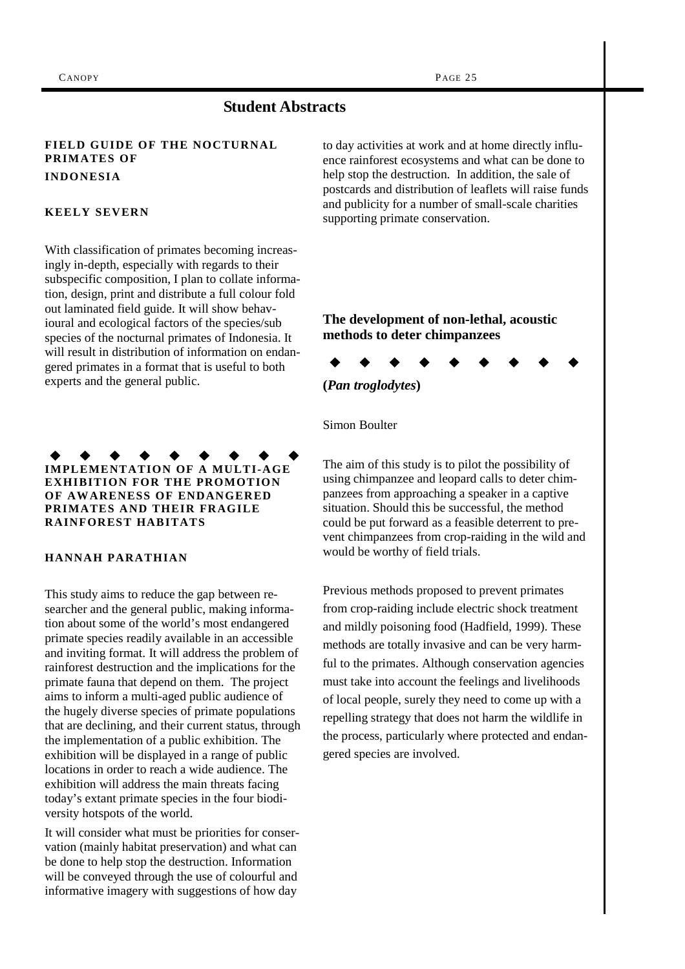# **Student Abstracts**

#### **FIELD GUIDE OF THE NOCTURNAL PRIMATES OF INDONESIA**

#### **KEELY SEVERN**

With classification of primates becoming increasingly in-depth, especially with regards to their subspecific composition, I plan to collate information, design, print and distribute a full colour fold out laminated field guide. It will show behavioural and ecological factors of the species/sub species of the nocturnal primates of Indonesia. It will result in distribution of information on endangered primates in a format that is useful to both experts and the general public.

**IMPLEMENTATION OF A MULTI-AGE EXHIBITION FOR THE PROMOTION OF AWARENESS OF ENDANGERED PRIMATES AND THEIR FRAGILE RAINFOREST HABITATS** 

#### **HANNAH PARATHIAN**

This study aims to reduce the gap between researcher and the general public, making information about some of the world's most endangered primate species readily available in an accessible and inviting format. It will address the problem of rainforest destruction and the implications for the primate fauna that depend on them. The project aims to inform a multi-aged public audience of the hugely diverse species of primate populations that are declining, and their current status, through the implementation of a public exhibition. The exhibition will be displayed in a range of public locations in order to reach a wide audience. The exhibition will address the main threats facing today's extant primate species in the four biodiversity hotspots of the world.

It will consider what must be priorities for conservation (mainly habitat preservation) and what can be done to help stop the destruction. Information will be conveyed through the use of colourful and informative imagery with suggestions of how day

to day activities at work and at home directly influence rainforest ecosystems and what can be done to help stop the destruction. In addition, the sale of postcards and distribution of leaflets will raise funds and publicity for a number of small-scale charities supporting primate conservation.

### **The development of non-lethal, acoustic methods to deter chimpanzees**



Simon Boulter

The aim of this study is to pilot the possibility of using chimpanzee and leopard calls to deter chimpanzees from approaching a speaker in a captive situation. Should this be successful, the method could be put forward as a feasible deterrent to prevent chimpanzees from crop-raiding in the wild and would be worthy of field trials.

Previous methods proposed to prevent primates from crop-raiding include electric shock treatment and mildly poisoning food (Hadfield, 1999). These methods are totally invasive and can be very harmful to the primates. Although conservation agencies must take into account the feelings and livelihoods of local people, surely they need to come up with a repelling strategy that does not harm the wildlife in the process, particularly where protected and endangered species are involved.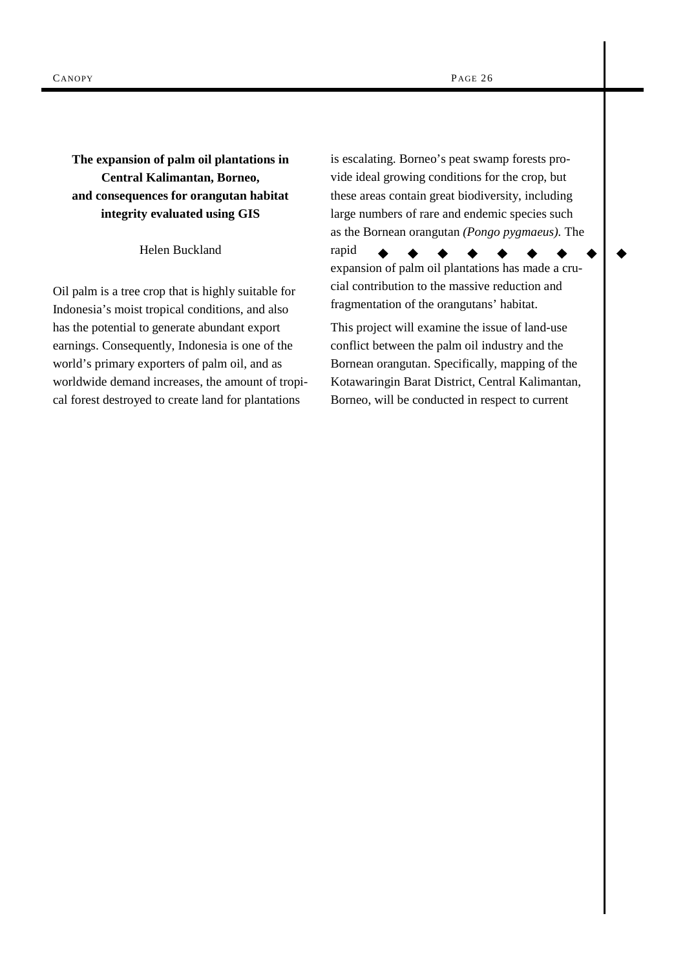**The expansion of palm oil plantations in Central Kalimantan, Borneo, and consequences for orangutan habitat integrity evaluated using GIS** 

Helen Buckland

Oil palm is a tree crop that is highly suitable for Indonesia's moist tropical conditions, and also has the potential to generate abundant export earnings. Consequently, Indonesia is one of the world's primary exporters of palm oil, and as worldwide demand increases, the amount of tropical forest destroyed to create land for plantations

is escalating. Borneo's peat swamp forests provide ideal growing conditions for the crop, but these areas contain great biodiversity, including large numbers of rare and endemic species such as the Bornean orangutan *(Pongo pygmaeus).* The

expansion of palm oil plantations has made a crucial contribution to the massive reduction and fragmentation of the orangutans' habitat.

rapid

This project will examine the issue of land-use conflict between the palm oil industry and the Bornean orangutan. Specifically, mapping of the Kotawaringin Barat District, Central Kalimantan, Borneo, will be conducted in respect to current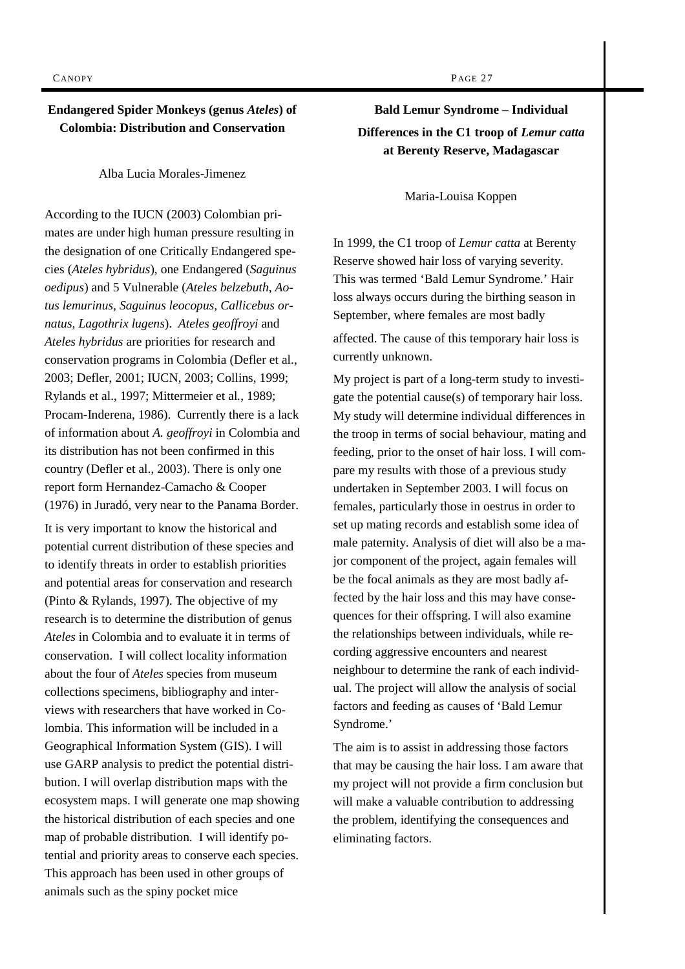### **Endangered Spider Monkeys (genus** *Ateles***) of Colombia: Distribution and Conservation**

Alba Lucia Morales-Jimenez

According to the IUCN (2003) Colombian primates are under high human pressure resulting in the designation of one Critically Endangered species (*Ateles hybridus*), one Endangered (*Saguinus oedipus*) and 5 Vulnerable (*Ateles belzebuth, Aotus lemurinus, Saguinus leocopus, Callicebus ornatus, Lagothrix lugens*). *Ateles geoffroyi* and *Ateles hybridus* are priorities for research and conservation programs in Colombia (Defler et al., 2003; Defler, 2001; IUCN, 2003; Collins, 1999; Rylands et al., 1997; Mittermeier et al*.*, 1989; Procam-Inderena, 1986). Currently there is a lack of information about *A. geoffroyi* in Colombia and its distribution has not been confirmed in this country (Defler et al., 2003). There is only one report form Hernandez-Camacho & Cooper (1976) in Juradó, very near to the Panama Border.

It is very important to know the historical and potential current distribution of these species and to identify threats in order to establish priorities and potential areas for conservation and research (Pinto & Rylands, 1997). The objective of my research is to determine the distribution of genus *Ateles* in Colombia and to evaluate it in terms of conservation. I will collect locality information about the four of *Ateles* species from museum collections specimens, bibliography and interviews with researchers that have worked in Colombia. This information will be included in a Geographical Information System (GIS). I will use GARP analysis to predict the potential distribution. I will overlap distribution maps with the ecosystem maps. I will generate one map showing the historical distribution of each species and one map of probable distribution. I will identify potential and priority areas to conserve each species. This approach has been used in other groups of animals such as the spiny pocket mice

**Bald Lemur Syndrome – Individual Differences in the C1 troop of** *Lemur catta* **at Berenty Reserve, Madagascar** 

Maria-Louisa Koppen

In 1999, the C1 troop of *Lemur catta* at Berenty Reserve showed hair loss of varying severity. This was termed 'Bald Lemur Syndrome.' Hair loss always occurs during the birthing season in September, where females are most badly

affected. The cause of this temporary hair loss is currently unknown.

My project is part of a long-term study to investigate the potential cause(s) of temporary hair loss. My study will determine individual differences in the troop in terms of social behaviour, mating and feeding, prior to the onset of hair loss. I will compare my results with those of a previous study undertaken in September 2003. I will focus on females, particularly those in oestrus in order to set up mating records and establish some idea of male paternity. Analysis of diet will also be a major component of the project, again females will be the focal animals as they are most badly affected by the hair loss and this may have consequences for their offspring. I will also examine the relationships between individuals, while recording aggressive encounters and nearest neighbour to determine the rank of each individual. The project will allow the analysis of social factors and feeding as causes of 'Bald Lemur Syndrome.'

The aim is to assist in addressing those factors that may be causing the hair loss. I am aware that my project will not provide a firm conclusion but will make a valuable contribution to addressing the problem, identifying the consequences and eliminating factors.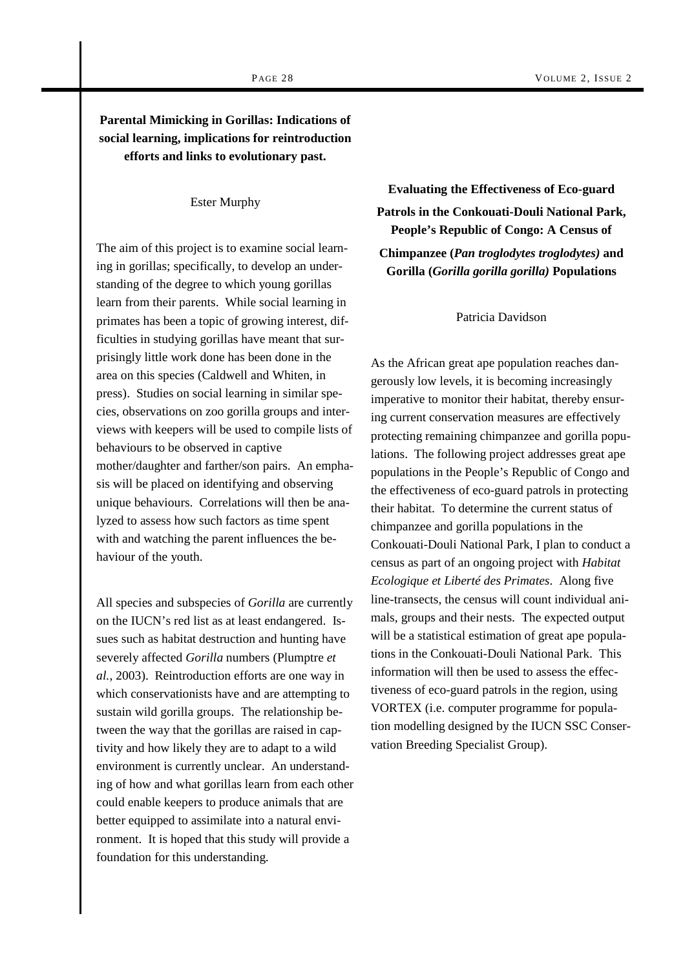# **Parental Mimicking in Gorillas: Indications of social learning, implications for reintroduction efforts and links to evolutionary past.**

Ester Murphy

The aim of this project is to examine social learning in gorillas; specifically, to develop an understanding of the degree to which young gorillas learn from their parents. While social learning in primates has been a topic of growing interest, difficulties in studying gorillas have meant that surprisingly little work done has been done in the area on this species (Caldwell and Whiten, in press). Studies on social learning in similar species, observations on zoo gorilla groups and interviews with keepers will be used to compile lists of behaviours to be observed in captive mother/daughter and farther/son pairs. An emphasis will be placed on identifying and observing unique behaviours. Correlations will then be analyzed to assess how such factors as time spent with and watching the parent influences the behaviour of the youth.

All species and subspecies of *Gorilla* are currently on the IUCN's red list as at least endangered. Issues such as habitat destruction and hunting have severely affected *Gorilla* numbers (Plumptre *et al.*, 2003). Reintroduction efforts are one way in which conservationists have and are attempting to sustain wild gorilla groups. The relationship between the way that the gorillas are raised in captivity and how likely they are to adapt to a wild environment is currently unclear. An understanding of how and what gorillas learn from each other could enable keepers to produce animals that are better equipped to assimilate into a natural environment. It is hoped that this study will provide a foundation for this understanding.

**Evaluating the Effectiveness of Eco-guard Patrols in the Conkouati-Douli National Park, People's Republic of Congo: A Census of Chimpanzee (***Pan troglodytes troglodytes)* **and Gorilla (***Gorilla gorilla gorilla)* **Populations** 

#### Patricia Davidson

As the African great ape population reaches dangerously low levels, it is becoming increasingly imperative to monitor their habitat, thereby ensuring current conservation measures are effectively protecting remaining chimpanzee and gorilla populations. The following project addresses great ape populations in the People's Republic of Congo and the effectiveness of eco-guard patrols in protecting their habitat. To determine the current status of chimpanzee and gorilla populations in the Conkouati-Douli National Park, I plan to conduct a census as part of an ongoing project with *Habitat Ecologique et Liberté des Primates*. Along five line-transects, the census will count individual animals, groups and their nests. The expected output will be a statistical estimation of great ape populations in the Conkouati-Douli National Park. This information will then be used to assess the effectiveness of eco-guard patrols in the region, using VORTEX (i.e. computer programme for population modelling designed by the IUCN SSC Conservation Breeding Specialist Group).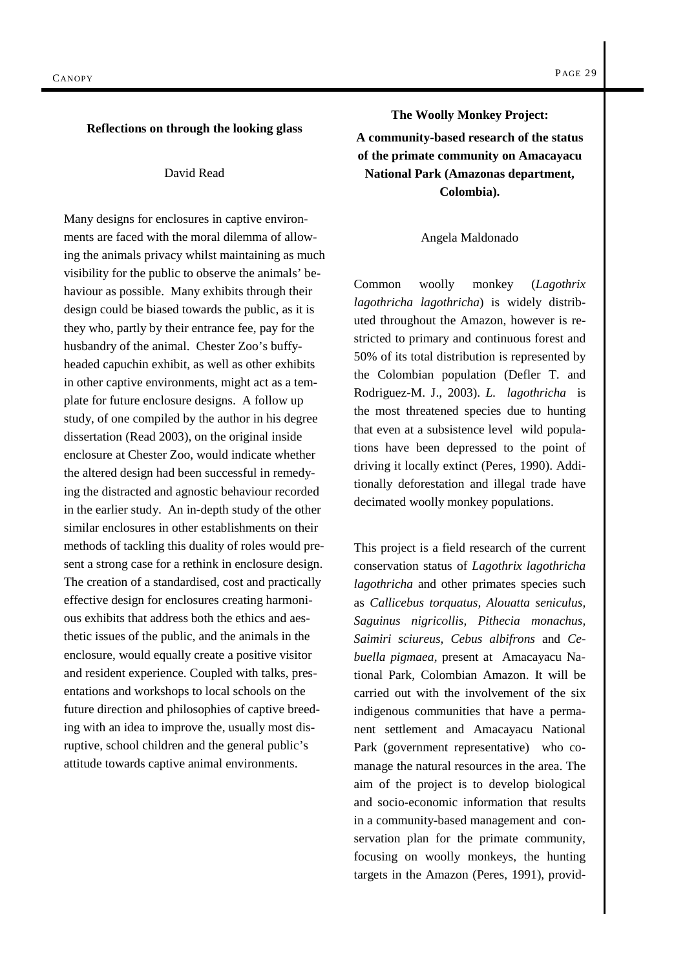#### **Reflections on through the looking glass**

#### David Read

Many designs for enclosures in captive environments are faced with the moral dilemma of allowing the animals privacy whilst maintaining as much visibility for the public to observe the animals' behaviour as possible. Many exhibits through their design could be biased towards the public, as it is they who, partly by their entrance fee, pay for the husbandry of the animal. Chester Zoo's buffyheaded capuchin exhibit, as well as other exhibits in other captive environments, might act as a template for future enclosure designs. A follow up study, of one compiled by the author in his degree dissertation (Read 2003), on the original inside enclosure at Chester Zoo, would indicate whether the altered design had been successful in remedying the distracted and agnostic behaviour recorded in the earlier study. An in-depth study of the other similar enclosures in other establishments on their methods of tackling this duality of roles would present a strong case for a rethink in enclosure design. The creation of a standardised, cost and practically effective design for enclosures creating harmonious exhibits that address both the ethics and aesthetic issues of the public, and the animals in the enclosure, would equally create a positive visitor and resident experience. Coupled with talks, presentations and workshops to local schools on the future direction and philosophies of captive breeding with an idea to improve the, usually most disruptive, school children and the general public's attitude towards captive animal environments.

**The Woolly Monkey Project: A community-based research of the status of the primate community on Amacayacu National Park (Amazonas department, Colombia).** 

#### Angela Maldonado

Common woolly monkey (*Lagothrix lagothricha lagothricha*) is widely distributed throughout the Amazon, however is restricted to primary and continuous forest and 50% of its total distribution is represented by the Colombian population (Defler T. and Rodriguez-M. J., 2003). *L. lagothricha* is the most threatened species due to hunting that even at a subsistence level wild populations have been depressed to the point of driving it locally extinct (Peres, 1990). Additionally deforestation and illegal trade have decimated woolly monkey populations.

This project is a field research of the current conservation status of *Lagothrix lagothricha lagothricha* and other primates species such as *Callicebus torquatus, Alouatta seniculus, Saguinus nigricollis, Pithecia monachus, Saimiri sciureus, Cebus albifrons* and *Cebuella pigmaea,* present at Amacayacu National Park, Colombian Amazon. It will be carried out with the involvement of the six indigenous communities that have a permanent settlement and Amacayacu National Park (government representative) who comanage the natural resources in the area. The aim of the project is to develop biological and socio-economic information that results in a community-based management and conservation plan for the primate community, focusing on woolly monkeys, the hunting targets in the Amazon (Peres, 1991), provid-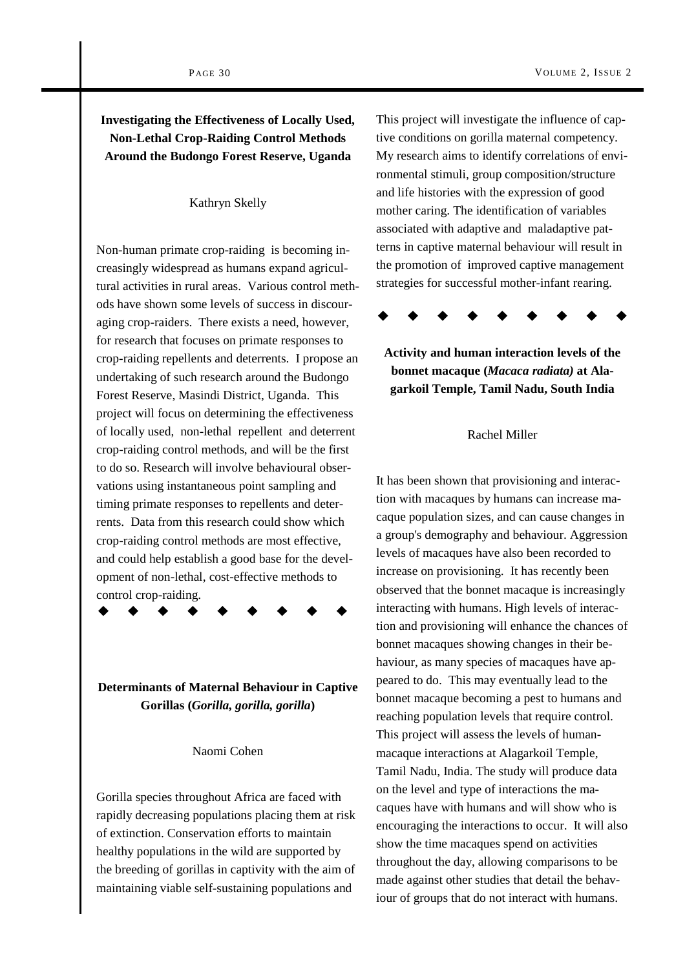# **Investigating the Effectiveness of Locally Used, Non-Lethal Crop-Raiding Control Methods Around the Budongo Forest Reserve, Uganda**

#### Kathryn Skelly

Non-human primate crop-raiding is becoming increasingly widespread as humans expand agricultural activities in rural areas. Various control methods have shown some levels of success in discouraging crop-raiders. There exists a need, however, for research that focuses on primate responses to crop-raiding repellents and deterrents. I propose an undertaking of such research around the Budongo Forest Reserve, Masindi District, Uganda. This project will focus on determining the effectiveness of locally used, non-lethal repellent and deterrent crop-raiding control methods, and will be the first to do so. Research will involve behavioural observations using instantaneous point sampling and timing primate responses to repellents and deterrents. Data from this research could show which crop-raiding control methods are most effective, and could help establish a good base for the development of non-lethal, cost-effective methods to control crop-raiding.

**Determinants of Maternal Behaviour in Captive Gorillas (***Gorilla, gorilla, gorilla***)** 

#### Naomi Cohen

Gorilla species throughout Africa are faced with rapidly decreasing populations placing them at risk of extinction. Conservation efforts to maintain healthy populations in the wild are supported by the breeding of gorillas in captivity with the aim of maintaining viable self-sustaining populations and

This project will investigate the influence of captive conditions on gorilla maternal competency. My research aims to identify correlations of environmental stimuli, group composition/structure and life histories with the expression of good mother caring. The identification of variables associated with adaptive and maladaptive patterns in captive maternal behaviour will result in the promotion of improved captive management strategies for successful mother-infant rearing.



**Activity and human interaction levels of the bonnet macaque (***Macaca radiata)* **at Alagarkoil Temple, Tamil Nadu, South India** 

#### Rachel Miller

It has been shown that provisioning and interaction with macaques by humans can increase macaque population sizes, and can cause changes in a group's demography and behaviour. Aggression levels of macaques have also been recorded to increase on provisioning. It has recently been observed that the bonnet macaque is increasingly interacting with humans. High levels of interaction and provisioning will enhance the chances of bonnet macaques showing changes in their behaviour, as many species of macaques have appeared to do. This may eventually lead to the bonnet macaque becoming a pest to humans and reaching population levels that require control. This project will assess the levels of humanmacaque interactions at Alagarkoil Temple, Tamil Nadu, India. The study will produce data on the level and type of interactions the macaques have with humans and will show who is encouraging the interactions to occur. It will also show the time macaques spend on activities throughout the day, allowing comparisons to be made against other studies that detail the behaviour of groups that do not interact with humans.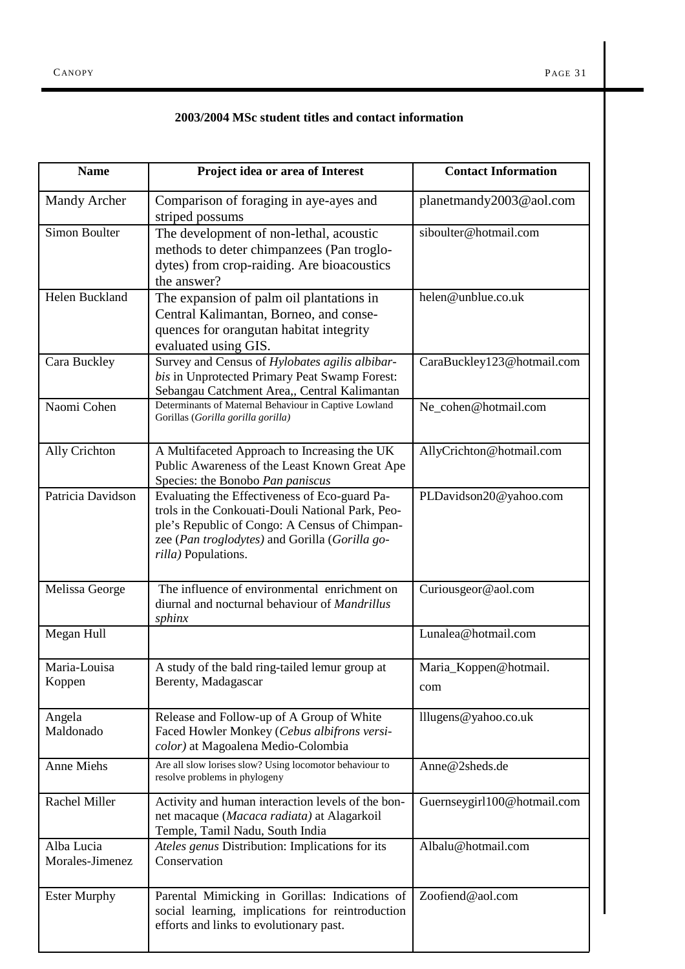## **2003/2004 MSc student titles and contact information**

| <b>Name</b>                   | Project idea or area of Interest                                                                                                                                                                                            | <b>Contact Information</b>   |
|-------------------------------|-----------------------------------------------------------------------------------------------------------------------------------------------------------------------------------------------------------------------------|------------------------------|
| <b>Mandy Archer</b>           | Comparison of foraging in aye-ayes and<br>striped possums                                                                                                                                                                   | planetmandy2003@aol.com      |
| Simon Boulter                 | The development of non-lethal, acoustic<br>methods to deter chimpanzees (Pan troglo-<br>dytes) from crop-raiding. Are bioacoustics<br>the answer?                                                                           | siboulter@hotmail.com        |
| Helen Buckland                | The expansion of palm oil plantations in<br>Central Kalimantan, Borneo, and conse-<br>quences for orangutan habitat integrity<br>evaluated using GIS.                                                                       | helen@unblue.co.uk           |
| Cara Buckley                  | Survey and Census of Hylobates agilis albibar-<br>bis in Unprotected Primary Peat Swamp Forest:<br>Sebangau Catchment Area,, Central Kalimantan                                                                             | CaraBuckley123@hotmail.com   |
| Naomi Cohen                   | Determinants of Maternal Behaviour in Captive Lowland<br>Gorillas (Gorilla gorilla gorilla)                                                                                                                                 | Ne_cohen@hotmail.com         |
| Ally Crichton                 | A Multifaceted Approach to Increasing the UK<br>Public Awareness of the Least Known Great Ape<br>Species: the Bonobo Pan paniscus                                                                                           | AllyCrichton@hotmail.com     |
| Patricia Davidson             | Evaluating the Effectiveness of Eco-guard Pa-<br>trols in the Conkouati-Douli National Park, Peo-<br>ple's Republic of Congo: A Census of Chimpan-<br>zee (Pan troglodytes) and Gorilla (Gorilla go-<br>rilla) Populations. | PLDavidson20@yahoo.com       |
| Melissa George                | The influence of environmental enrichment on<br>diurnal and nocturnal behaviour of Mandrillus<br>sphinx                                                                                                                     | Curiousgeor@aol.com          |
| Megan Hull                    |                                                                                                                                                                                                                             | Lunalea@hotmail.com          |
| Maria-Louisa<br>Koppen        | A study of the bald ring-tailed lemur group at<br>Berenty, Madagascar                                                                                                                                                       | Maria_Koppen@hotmail.<br>com |
| Angela<br>Maldonado           | Release and Follow-up of A Group of White<br>Faced Howler Monkey (Cebus albifrons versi-<br>color) at Magoalena Medio-Colombia                                                                                              | lllugens@yahoo.co.uk         |
| <b>Anne Miehs</b>             | Are all slow lorises slow? Using locomotor behaviour to<br>resolve problems in phylogeny                                                                                                                                    | Anne@2sheds.de               |
| <b>Rachel Miller</b>          | Activity and human interaction levels of the bon-<br>net macaque (Macaca radiata) at Alagarkoil<br>Temple, Tamil Nadu, South India                                                                                          | Guernseygirl100@hotmail.com  |
| Alba Lucia<br>Morales-Jimenez | Ateles genus Distribution: Implications for its<br>Conservation                                                                                                                                                             | Albalu@hotmail.com           |
| <b>Ester Murphy</b>           | Parental Mimicking in Gorillas: Indications of<br>social learning, implications for reintroduction<br>efforts and links to evolutionary past.                                                                               | Zoofiend@aol.com             |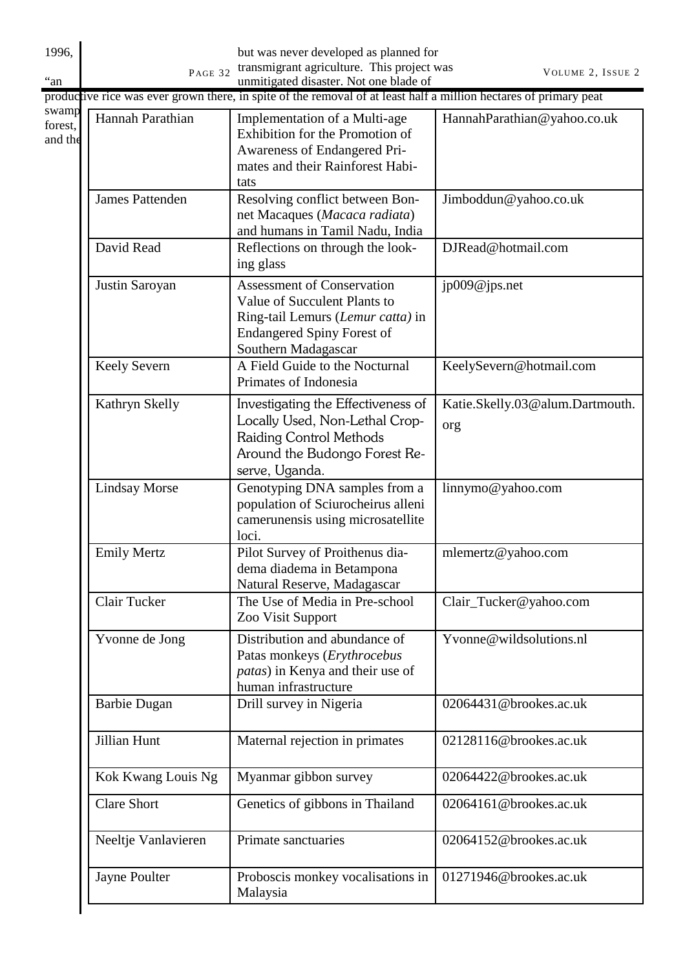| 1996,                       | PAGE 32                | but was never developed as planned for<br>transmigrant agriculture. This project was                                                                               | VOLUME 2, ISSUE 2                      |
|-----------------------------|------------------------|--------------------------------------------------------------------------------------------------------------------------------------------------------------------|----------------------------------------|
|                             |                        | unmitigated disaster. Not one blade of<br>productive rice was ever grown there, in spite of the removal of at least half a million hectares of primary peat        |                                        |
| swamp<br>forest,<br>and the | Hannah Parathian       | Implementation of a Multi-age<br>Exhibition for the Promotion of<br>Awareness of Endangered Pri-<br>mates and their Rainforest Habi-<br>tats                       | HannahParathian@yahoo.co.uk            |
|                             | <b>James Pattenden</b> | Resolving conflict between Bon-<br>net Macaques (Macaca radiata)<br>and humans in Tamil Nadu, India                                                                | Jimboddun@yahoo.co.uk                  |
|                             | David Read             | Reflections on through the look-<br>ing glass                                                                                                                      | DJRead@hotmail.com                     |
|                             | Justin Saroyan         | <b>Assessment of Conservation</b><br>Value of Succulent Plants to<br>Ring-tail Lemurs (Lemur catta) in<br><b>Endangered Spiny Forest of</b><br>Southern Madagascar | jp009@jps.net                          |
|                             | Keely Severn           | A Field Guide to the Nocturnal<br>Primates of Indonesia                                                                                                            | KeelySevern@hotmail.com                |
|                             | Kathryn Skelly         | Investigating the Effectiveness of<br>Locally Used, Non-Lethal Crop-<br>Raiding Control Methods<br>Around the Budongo Forest Re-<br>serve, Uganda.                 | Katie.Skelly.03@alum.Dartmouth.<br>org |
|                             | <b>Lindsay Morse</b>   | Genotyping DNA samples from a<br>population of Sciurocheirus alleni<br>camerunensis using microsatellite<br>loci.                                                  | linnymo@yahoo.com                      |
|                             | <b>Emily Mertz</b>     | Pilot Survey of Proithenus dia-<br>dema diadema in Betampona<br>Natural Reserve, Madagascar                                                                        | mlemertz@yahoo.com                     |
|                             | Clair Tucker           | The Use of Media in Pre-school<br>Zoo Visit Support                                                                                                                | Clair_Tucker@yahoo.com                 |
|                             | Yvonne de Jong         | Distribution and abundance of<br>Patas monkeys (Erythrocebus<br><i>patas</i> ) in Kenya and their use of<br>human infrastructure                                   | Yvonne@wildsolutions.nl                |
|                             | <b>Barbie Dugan</b>    | Drill survey in Nigeria                                                                                                                                            | 02064431@brookes.ac.uk                 |
|                             | Jillian Hunt           | Maternal rejection in primates                                                                                                                                     | 02128116@brookes.ac.uk                 |
|                             | Kok Kwang Louis Ng     | Myanmar gibbon survey                                                                                                                                              | 02064422@brookes.ac.uk                 |
|                             | <b>Clare Short</b>     | Genetics of gibbons in Thailand                                                                                                                                    | 02064161@brookes.ac.uk                 |
|                             | Neeltje Vanlavieren    | Primate sanctuaries                                                                                                                                                | 02064152@brookes.ac.uk                 |
|                             | Jayne Poulter          | Proboscis monkey vocalisations in<br>Malaysia                                                                                                                      | 01271946@brookes.ac.uk                 |